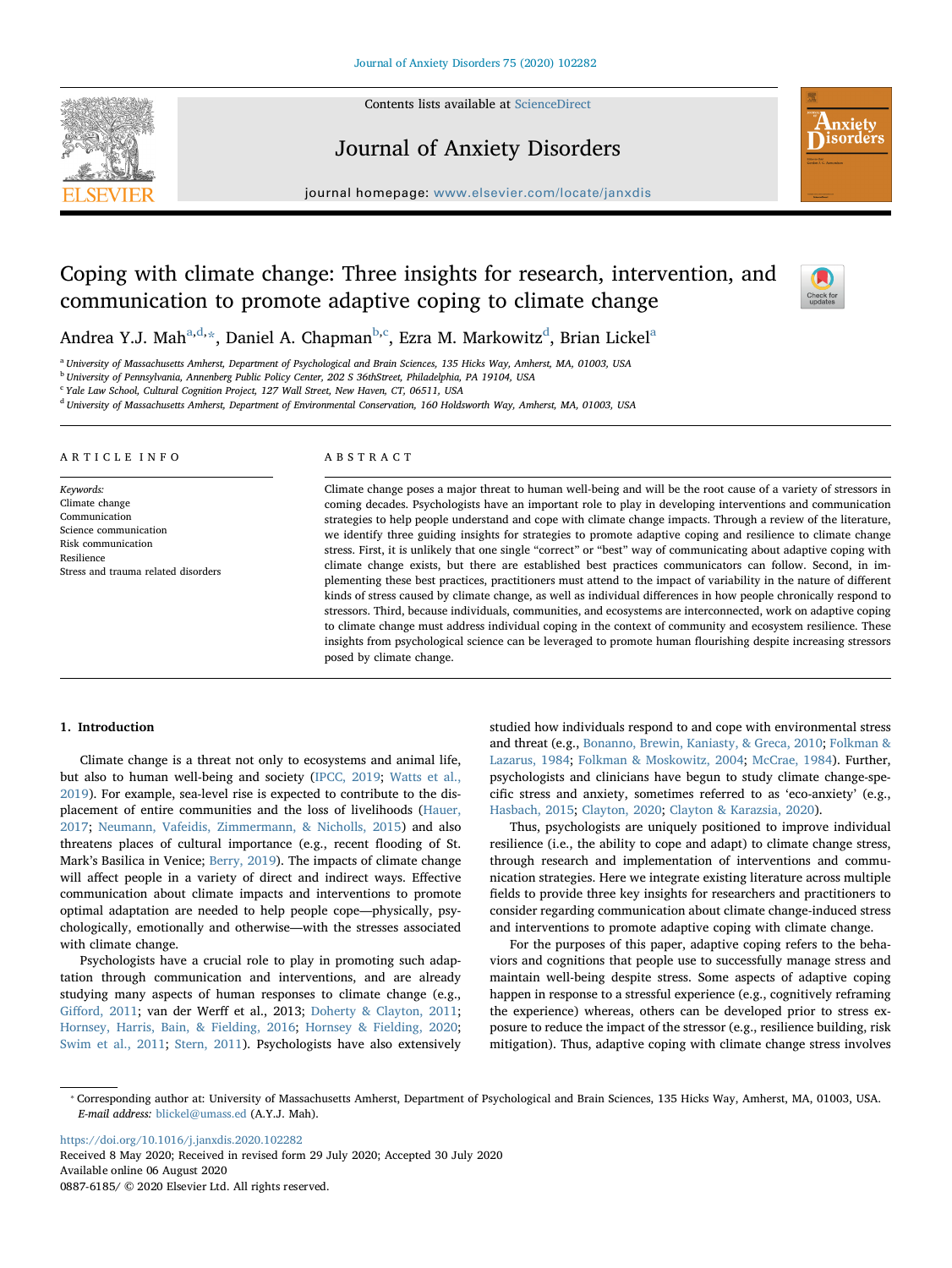Contents lists available at [ScienceDirect](http://www.sciencedirect.com/science/journal/08876185)



# Journal of Anxiety Disorders



journal homepage: [www.elsevier.com/locate/janxdis](https://www.elsevier.com/locate/janxdis)

## Coping with climate change: Three insights for research, intervention, and communication to promote adaptive coping to climate change



Andrea Y.J. Mah<sup>[a,](#page-0-0)[d](#page-0-1),</sup>[\\*,](#page-0-2) Daniel A. Chapman<sup>[b](#page-0-3),[c](#page-0-4)</sup>, Ezr[a](#page-0-0) M. Markowitz<sup>d</sup>, Brian Lickel<sup>a</sup>

<span id="page-0-0"></span><sup>a</sup> University of Massachusetts Amherst, Department of Psychological and Brain Sciences, 135 Hicks Way, Amherst, MA, 01003, USA

<span id="page-0-3"></span><sup>b</sup> University of Pennsylvania, Annenberg Public Policy Center, 202 S 36thStreet, Philadelphia, PA 19104, USA

<span id="page-0-4"></span><sup>c</sup> Yale Law School, Cultural Cognition Project, 127 Wall Street, New Haven, CT, 06511, USA

<span id="page-0-1"></span><sup>d</sup> University of Massachusetts Amherst, Department of Environmental Conservation, 160 Holdsworth Way, Amherst, MA, 01003, USA

#### ARTICLE INFO

Keywords: Climate change Communication Science communication Risk communication Resilience Stress and trauma related disorders

#### ABSTRACT

Climate change poses a major threat to human well-being and will be the root cause of a variety of stressors in coming decades. Psychologists have an important role to play in developing interventions and communication strategies to help people understand and cope with climate change impacts. Through a review of the literature, we identify three guiding insights for strategies to promote adaptive coping and resilience to climate change stress. First, it is unlikely that one single "correct" or "best" way of communicating about adaptive coping with climate change exists, but there are established best practices communicators can follow. Second, in implementing these best practices, practitioners must attend to the impact of variability in the nature of different kinds of stress caused by climate change, as well as individual differences in how people chronically respond to stressors. Third, because individuals, communities, and ecosystems are interconnected, work on adaptive coping to climate change must address individual coping in the context of community and ecosystem resilience. These insights from psychological science can be leveraged to promote human flourishing despite increasing stressors posed by climate change.

### 1. Introduction

Climate change is a threat not only to ecosystems and animal life, but also to human well-being and society [\(IPCC, 2019](#page-7-0); [Watts et al.,](#page-8-0) [2019\)](#page-8-0). For example, sea-level rise is expected to contribute to the displacement of entire communities and the loss of livelihoods ([Hauer,](#page-7-1) [2017;](#page-7-1) [Neumann, Vafeidis, Zimmermann, & Nicholls, 2015](#page-7-2)) and also threatens places of cultural importance (e.g., recent flooding of St. Mark's Basilica in Venice; [Berry, 2019\)](#page-6-0). The impacts of climate change will affect people in a variety of direct and indirect ways. Effective communication about climate impacts and interventions to promote optimal adaptation are needed to help people cope—physically, psychologically, emotionally and otherwise—with the stresses associated with climate change.

Psychologists have a crucial role to play in promoting such adaptation through communication and interventions, and are already studying many aspects of human responses to climate change (e.g., Giff[ord, 2011](#page-7-3); van der Werff et al., 2013; [Doherty & Clayton, 2011](#page-6-1); [Hornsey, Harris, Bain, & Fielding, 2016;](#page-7-4) [Hornsey & Fielding, 2020](#page-7-5); [Swim et al., 2011;](#page-8-1) [Stern, 2011\)](#page-8-2). Psychologists have also extensively studied how individuals respond to and cope with environmental stress and threat (e.g., [Bonanno, Brewin, Kaniasty, & Greca, 2010;](#page-6-2) [Folkman &](#page-7-6) [Lazarus, 1984;](#page-7-6) [Folkman & Moskowitz, 2004;](#page-7-7) [McCrae, 1984\)](#page-7-8). Further, psychologists and clinicians have begun to study climate change-specific stress and anxiety, sometimes referred to as 'eco-anxiety' (e.g., [Hasbach, 2015](#page-7-9); [Clayton, 2020](#page-6-3); [Clayton & Karazsia, 2020\)](#page-6-4).

Thus, psychologists are uniquely positioned to improve individual resilience (i.e., the ability to cope and adapt) to climate change stress, through research and implementation of interventions and communication strategies. Here we integrate existing literature across multiple fields to provide three key insights for researchers and practitioners to consider regarding communication about climate change-induced stress and interventions to promote adaptive coping with climate change.

For the purposes of this paper, adaptive coping refers to the behaviors and cognitions that people use to successfully manage stress and maintain well-being despite stress. Some aspects of adaptive coping happen in response to a stressful experience (e.g., cognitively reframing the experience) whereas, others can be developed prior to stress exposure to reduce the impact of the stressor (e.g., resilience building, risk mitigation). Thus, adaptive coping with climate change stress involves

<https://doi.org/10.1016/j.janxdis.2020.102282> Received 8 May 2020; Received in revised form 29 July 2020; Accepted 30 July 2020 Available online 06 August 2020 0887-6185/ © 2020 Elsevier Ltd. All rights reserved.

<span id="page-0-2"></span><sup>⁎</sup> Corresponding author at: University of Massachusetts Amherst, Department of Psychological and Brain Sciences, 135 Hicks Way, Amherst, MA, 01003, USA. E-mail address: [blickel@umass.ed](mailto:blickel@umass.ed) (A.Y.J. Mah).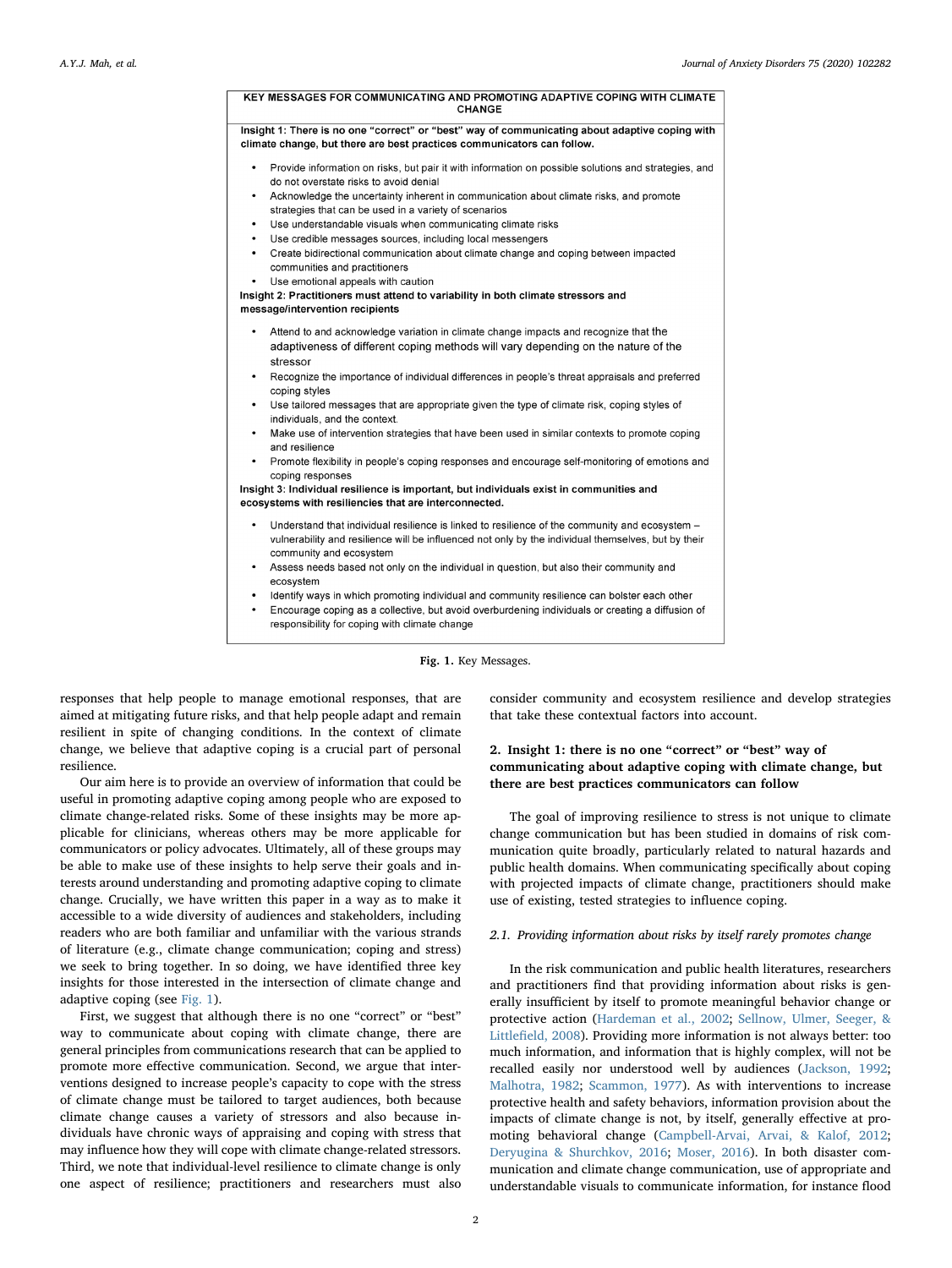<span id="page-1-0"></span>

Fig. 1. Key Messages.

responses that help people to manage emotional responses, that are aimed at mitigating future risks, and that help people adapt and remain resilient in spite of changing conditions. In the context of climate change, we believe that adaptive coping is a crucial part of personal resilience.

Our aim here is to provide an overview of information that could be useful in promoting adaptive coping among people who are exposed to climate change-related risks. Some of these insights may be more applicable for clinicians, whereas others may be more applicable for communicators or policy advocates. Ultimately, all of these groups may be able to make use of these insights to help serve their goals and interests around understanding and promoting adaptive coping to climate change. Crucially, we have written this paper in a way as to make it accessible to a wide diversity of audiences and stakeholders, including readers who are both familiar and unfamiliar with the various strands of literature (e.g., climate change communication; coping and stress) we seek to bring together. In so doing, we have identified three key insights for those interested in the intersection of climate change and adaptive coping (see [Fig. 1\)](#page-1-0).

First, we suggest that although there is no one "correct" or "best" way to communicate about coping with climate change, there are general principles from communications research that can be applied to promote more effective communication. Second, we argue that interventions designed to increase people's capacity to cope with the stress of climate change must be tailored to target audiences, both because climate change causes a variety of stressors and also because individuals have chronic ways of appraising and coping with stress that may influence how they will cope with climate change-related stressors. Third, we note that individual-level resilience to climate change is only one aspect of resilience; practitioners and researchers must also

consider community and ecosystem resilience and develop strategies that take these contextual factors into account.

## 2. Insight 1: there is no one "correct" or "best" way of communicating about adaptive coping with climate change, but there are best practices communicators can follow

The goal of improving resilience to stress is not unique to climate change communication but has been studied in domains of risk communication quite broadly, particularly related to natural hazards and public health domains. When communicating specifically about coping with projected impacts of climate change, practitioners should make use of existing, tested strategies to influence coping.

## 2.1. Providing information about risks by itself rarely promotes change

In the risk communication and public health literatures, researchers and practitioners find that providing information about risks is generally insufficient by itself to promote meaningful behavior change or protective action ([Hardeman et al., 2002](#page-7-10); [Sellnow, Ulmer, Seeger, &](#page-8-3) Littlefi[eld, 2008](#page-8-3)). Providing more information is not always better: too much information, and information that is highly complex, will not be recalled easily nor understood well by audiences [\(Jackson, 1992](#page-7-11); [Malhotra, 1982;](#page-7-12) [Scammon, 1977\)](#page-8-4). As with interventions to increase protective health and safety behaviors, information provision about the impacts of climate change is not, by itself, generally effective at promoting behavioral change [\(Campbell-Arvai, Arvai, & Kalof, 2012](#page-6-5); [Deryugina & Shurchkov, 2016;](#page-6-6) [Moser,](#page-7-13) 2016). In both disaster communication and climate change communication, use of appropriate and understandable visuals to communicate information, for instance flood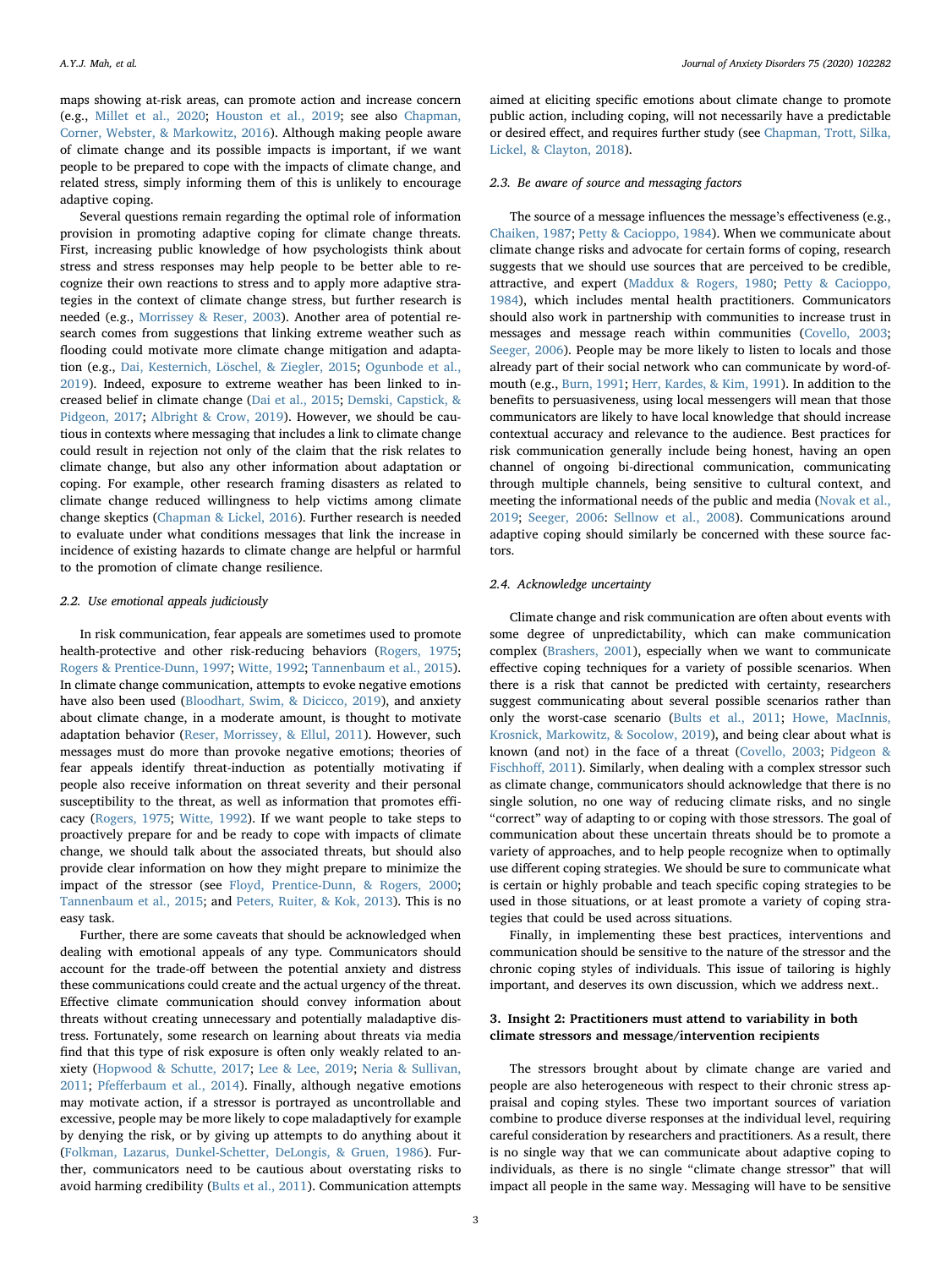maps showing at-risk areas, can promote action and increase concern (e.g., [Millet et al., 2020;](#page-7-14) [Houston et al., 2019;](#page-7-15) see also [Chapman,](#page-6-7) [Corner, Webster, & Markowitz, 2016\)](#page-6-7). Although making people aware of climate change and its possible impacts is important, if we want people to be prepared to cope with the impacts of climate change, and related stress, simply informing them of this is unlikely to encourage adaptive coping.

Several questions remain regarding the optimal role of information provision in promoting adaptive coping for climate change threats. First, increasing public knowledge of how psychologists think about stress and stress responses may help people to be better able to recognize their own reactions to stress and to apply more adaptive strategies in the context of climate change stress, but further research is needed (e.g., [Morrissey & Reser, 2003\)](#page-7-16). Another area of potential research comes from suggestions that linking extreme weather such as flooding could motivate more climate change mitigation and adaptation (e.g., [Dai, Kesternich, Löschel, & Ziegler, 2015](#page-6-8); [Ogunbode et al.,](#page-7-17) [2019\)](#page-7-17). Indeed, exposure to extreme weather has been linked to increased belief in climate change [\(Dai et al., 2015;](#page-6-8) [Demski, Capstick, &](#page-6-9) [Pidgeon, 2017](#page-6-9); [Albright & Crow, 2019](#page-6-10)). However, we should be cautious in contexts where messaging that includes a link to climate change could result in rejection not only of the claim that the risk relates to climate change, but also any other information about adaptation or coping. For example, other research framing disasters as related to climate change reduced willingness to help victims among climate change skeptics ([Chapman & Lickel, 2016](#page-6-11)). Further research is needed to evaluate under what conditions messages that link the increase in incidence of existing hazards to climate change are helpful or harmful to the promotion of climate change resilience.

## 2.2. Use emotional appeals judiciously

In risk communication, fear appeals are sometimes used to promote health-protective and other risk-reducing behaviors [\(Rogers, 1975](#page-8-5); [Rogers & Prentice-Dunn, 1997;](#page-8-6) [Witte, 1992;](#page-8-7) [Tannenbaum et al., 2015](#page-8-8)). In climate change communication, attempts to evoke negative emotions have also been used [\(Bloodhart, Swim, & Dicicco, 2019\)](#page-6-12), and anxiety about climate change, in a moderate amount, is thought to motivate adaptation behavior [\(Reser, Morrissey, & Ellul, 2011\)](#page-8-9). However, such messages must do more than provoke negative emotions; theories of fear appeals identify threat-induction as potentially motivating if people also receive information on threat severity and their personal susceptibility to the threat, as well as information that promotes efficacy ([Rogers, 1975;](#page-8-5) [Witte, 1992\)](#page-8-7). If we want people to take steps to proactively prepare for and be ready to cope with impacts of climate change, we should talk about the associated threats, but should also provide clear information on how they might prepare to minimize the impact of the stressor (see Floyd, Prentice‐[Dunn, & Rogers, 2000](#page-6-13); [Tannenbaum et al., 2015](#page-8-8); and [Peters, Ruiter, & Kok, 2013\)](#page-7-18). This is no easy task.

Further, there are some caveats that should be acknowledged when dealing with emotional appeals of any type. Communicators should account for the trade-off between the potential anxiety and distress these communications could create and the actual urgency of the threat. Effective climate communication should convey information about threats without creating unnecessary and potentially maladaptive distress. Fortunately, some research on learning about threats via media find that this type of risk exposure is often only weakly related to anxiety [\(Hopwood & Schutte, 2017;](#page-7-19) [Lee & Lee, 2019](#page-7-20); [Neria & Sullivan,](#page-7-21) [2011;](#page-7-21) Pfeff[erbaum et al., 2014\)](#page-7-22). Finally, although negative emotions may motivate action, if a stressor is portrayed as uncontrollable and excessive, people may be more likely to cope maladaptively for example by denying the risk, or by giving up attempts to do anything about it ([Folkman, Lazarus, Dunkel-Schetter, DeLongis, & Gruen, 1986](#page-7-23)). Further, communicators need to be cautious about overstating risks to avoid harming credibility ([Bults et al., 2011](#page-6-14)). Communication attempts aimed at eliciting specific emotions about climate change to promote public action, including coping, will not necessarily have a predictable or desired effect, and requires further study (see [Chapman, Trott, Silka,](#page-6-15) [Lickel, & Clayton, 2018\)](#page-6-15).

#### 2.3. Be aware of source and messaging factors

The source of a message influences the message's effectiveness (e.g., [Chaiken, 1987;](#page-6-16) [Petty & Cacioppo, 1984](#page-7-24)). When we communicate about climate change risks and advocate for certain forms of coping, research suggests that we should use sources that are perceived to be credible, attractive, and expert [\(Maddux & Rogers, 1980](#page-7-25); [Petty & Cacioppo,](#page-7-24) [1984\)](#page-7-24), which includes mental health practitioners. Communicators should also work in partnership with communities to increase trust in messages and message reach within communities [\(Covello, 2003](#page-6-17); [Seeger, 2006\)](#page-8-10). People may be more likely to listen to locals and those already part of their social network who can communicate by word-ofmouth (e.g., [Burn, 1991](#page-6-18); [Herr, Kardes, & Kim, 1991\)](#page-7-26). In addition to the benefits to persuasiveness, using local messengers will mean that those communicators are likely to have local knowledge that should increase contextual accuracy and relevance to the audience. Best practices for risk communication generally include being honest, having an open channel of ongoing bi-directional communication, communicating through multiple channels, being sensitive to cultural context, and meeting the informational needs of the public and media ([Novak et al.,](#page-7-27) [2019;](#page-7-27) [Seeger, 2006](#page-8-10): [Sellnow et al., 2008](#page-8-3)). Communications around adaptive coping should similarly be concerned with these source factors.

### 2.4. Acknowledge uncertainty

Climate change and risk communication are often about events with some degree of unpredictability, which can make communication complex ([Brashers, 2001](#page-6-19)), especially when we want to communicate effective coping techniques for a variety of possible scenarios. When there is a risk that cannot be predicted with certainty, researchers suggest communicating about several possible scenarios rather than only the worst-case scenario ([Bults et al., 2011;](#page-6-14) [Howe, MacInnis,](#page-7-28) Krosnick, [Markowitz, & Socolow, 2019\)](#page-7-28), and being clear about what is known (and not) in the face of a threat [\(Covello, 2003;](#page-6-17) [Pidgeon &](#page-8-11) [Fischho](#page-8-11)ff, 2011). Similarly, when dealing with a complex stressor such as climate change, communicators should acknowledge that there is no single solution, no one way of reducing climate risks, and no single "correct" way of adapting to or coping with those stressors. The goal of communication about these uncertain threats should be to promote a variety of approaches, and to help people recognize when to optimally use different coping strategies. We should be sure to communicate what is certain or highly probable and teach specific coping strategies to be used in those situations, or at least promote a variety of coping strategies that could be used across situations.

Finally, in implementing these best practices, interventions and communication should be sensitive to the nature of the stressor and the chronic coping styles of individuals. This issue of tailoring is highly important, and deserves its own discussion, which we address next..

## 3. Insight 2: Practitioners must attend to variability in both climate stressors and message/intervention recipients

The stressors brought about by climate change are varied and people are also heterogeneous with respect to their chronic stress appraisal and coping styles. These two important sources of variation combine to produce diverse responses at the individual level, requiring careful consideration by researchers and practitioners. As a result, there is no single way that we can communicate about adaptive coping to individuals, as there is no single "climate change stressor" that will impact all people in the same way. Messaging will have to be sensitive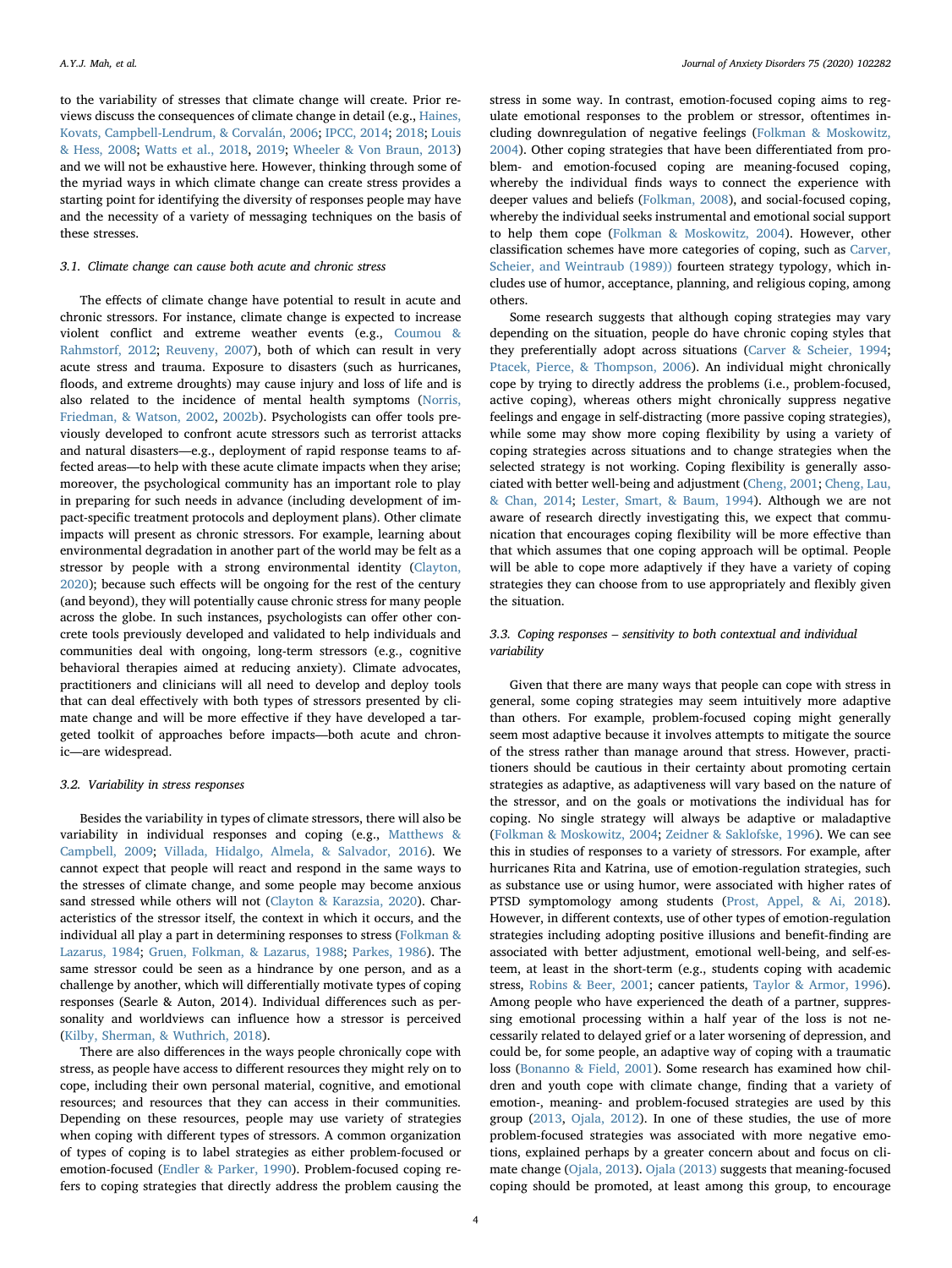to the variability of stresses that climate change will create. Prior reviews discuss the consequences of climate change in detail (e.g., [Haines,](#page-7-29) [Kovats, Campbell-Lendrum, & Corvalán, 2006](#page-7-29); [IPCC, 2014](#page-7-30); [2018;](#page-7-31) [Louis](#page-7-32) [& Hess, 2008](#page-7-32); [Watts et al., 2018](#page-8-12), [2019](#page-8-0); [Wheeler & Von Braun, 2013\)](#page-8-13) and we will not be exhaustive here. However, thinking through some of the myriad ways in which climate change can create stress provides a starting point for identifying the diversity of responses people may have and the necessity of a variety of messaging techniques on the basis of these stresses.

## 3.1. Climate change can cause both acute and chronic stress

The effects of climate change have potential to result in acute and chronic stressors. For instance, climate change is expected to increase violent conflict and extreme weather events (e.g., [Coumou &](#page-6-20) [Rahmstorf, 2012](#page-6-20); [Reuveny, 2007](#page-8-14)), both of which can result in very acute stress and trauma. Exposure to disasters (such as hurricanes, floods, and extreme droughts) may cause injury and loss of life and is also related to the incidence of mental health symptoms ([Norris,](#page-7-33) [Friedman, & Watson, 2002](#page-7-33), [2002b\)](#page-7-34). Psychologists can offer tools previously developed to confront acute stressors such as terrorist attacks and natural disasters—e.g., deployment of rapid response teams to affected areas—to help with these acute climate impacts when they arise; moreover, the psychological community has an important role to play in preparing for such needs in advance (including development of impact-specific treatment protocols and deployment plans). Other climate impacts will present as chronic stressors. For example, learning about environmental degradation in another part of the world may be felt as a stressor by people with a strong environmental identity [\(Clayton,](#page-6-3) [2020\)](#page-6-3); because such effects will be ongoing for the rest of the century (and beyond), they will potentially cause chronic stress for many people across the globe. In such instances, psychologists can offer other concrete tools previously developed and validated to help individuals and communities deal with ongoing, long-term stressors (e.g., cognitive behavioral therapies aimed at reducing anxiety). Climate advocates, practitioners and clinicians will all need to develop and deploy tools that can deal effectively with both types of stressors presented by climate change and will be more effective if they have developed a targeted toolkit of approaches before impacts—both acute and chronic—are widespread.

#### 3.2. Variability in stress responses

Besides the variability in types of climate stressors, there will also be variability in individual responses and coping (e.g., [Matthews &](#page-7-35) [Campbell, 2009;](#page-7-35) [Villada, Hidalgo, Almela, & Salvador, 2016](#page-8-15)). We cannot expect that people will react and respond in the same ways to the stresses of climate change, and some people may become anxious sand stressed while others will not [\(Clayton & Karazsia, 2020](#page-6-4)). Characteristics of the stressor itself, the context in which it occurs, and the individual all play a part in determining responses to stress [\(Folkman &](#page-7-6) [Lazarus,](#page-7-6) 1984; [Gruen, Folkman, & Lazarus, 1988](#page-7-36); [Parkes, 1986](#page-7-37)). The same stressor could be seen as a hindrance by one person, and as a challenge by another, which will differentially motivate types of coping responses (Searle & Auton, 2014). Individual differences such as personality and worldviews can influence how a stressor is perceived ([Kilby, Sherman, & Wuthrich, 2018](#page-7-38)).

There are also differences in the ways people chronically cope with stress, as people have access to different resources they might rely on to cope, including their own personal material, cognitive, and emotional resources; and resources that they can access in their communities. Depending on these resources, people may use variety of strategies when coping with different types of stressors. A common organization of types of coping is to label strategies as either problem-focused or emotion-focused ([Endler & Parker, 1990\)](#page-6-21). Problem-focused coping refers to coping strategies that directly address the problem causing the

stress in some way. In contrast, emotion-focused coping aims to regulate emotional responses to the problem or stressor, oftentimes including downregulation of negative feelings ([Folkman & Moskowitz,](#page-7-7) [2004\)](#page-7-7). Other coping strategies that have been differentiated from problem- and emotion-focused coping are meaning-focused coping, whereby the individual finds ways to connect the experience with deeper values and beliefs [\(Folkman, 2008\)](#page-7-39), and social-focused coping, whereby the individual seeks instrumental and emotional social support to help them cope ([Folkman & Moskowitz, 2004](#page-7-7)). However, other classification schemes have more categories of coping, such as [Carver,](#page-6-22) [Scheier, and Weintraub \(1989\)\)](#page-6-22) fourteen strategy typology, which includes use of humor, acceptance, planning, and religious coping, among others.

Some research suggests that although coping strategies may vary depending on the situation, people do have chronic coping styles that they preferentially adopt across situations [\(Carver & Scheier, 1994](#page-6-23); [Ptacek, Pierce, & Thompson, 2006\)](#page-8-16). An individual might chronically cope by trying to directly address the problems (i.e., problem-focused, active coping), whereas others might chronically suppress negative feelings and engage in self-distracting (more passive coping strategies), while some may show more coping flexibility by using a variety of coping strategies across situations and to change strategies when the selected strategy is not working. Coping flexibility is generally associated with better well-being and adjustment ([Cheng, 2001](#page-6-24); [Cheng, Lau,](#page-6-25) [& Chan, 2014](#page-6-25); [Lester, Smart, & Baum, 1994\)](#page-7-40). Although we are not aware of research directly investigating this, we expect that communication that encourages coping flexibility will be more effective than that which assumes that one coping approach will be optimal. People will be able to cope more adaptively if they have a variety of coping strategies they can choose from to use appropriately and flexibly given the situation.

## 3.3. Coping responses – sensitivity to both contextual and individual variability

Given that there are many ways that people can cope with stress in general, some coping strategies may seem intuitively more adaptive than others. For example, problem-focused coping might generally seem most adaptive because it involves attempts to mitigate the source of the stress rather than manage around that stress. However, practitioners should be cautious in their certainty about promoting certain strategies as adaptive, as adaptiveness will vary based on the nature of the stressor, and on the goals or motivations the individual has for coping. No single strategy will always be adaptive or maladaptive ([Folkman & Moskowitz, 2004;](#page-7-7) [Zeidner & Saklofske, 1996](#page-8-17)). We can see this in studies of responses to a variety of stressors. For example, after hurricanes Rita and Katrina, use of emotion-regulation strategies, such as substance use or using humor, were associated with higher rates of PTSD symptomology among students ([Prost, Appel, & Ai, 2018](#page-8-18)). However, in different contexts, use of other types of emotion-regulation strategies including adopting positive illusions and benefit-finding are associated with better adjustment, emotional well-being, and self-esteem, at least in the short-term (e.g., students coping with academic stress, [Robins & Beer, 2001](#page-8-19); cancer patients, [Taylor & Armor, 1996](#page-8-20)). Among people who have experienced the death of a partner, suppressing emotional processing within a half year of the loss is not necessarily related to delayed grief or a later worsening of depression, and could be, for some people, an adaptive way of coping with a traumatic loss ([Bonanno & Field, 2001\)](#page-6-26). Some research has examined how children and youth cope with climate change, finding that a variety of emotion-, meaning- and problem-focused strategies are used by this group ([2013,](#page-7-41) [Ojala, 2012](#page-7-42)). In one of these studies, the use of more problem-focused strategies was associated with more negative emotions, explained perhaps by a greater concern about and focus on climate change [\(Ojala, 2013\)](#page-7-41). [Ojala \(2013\)](#page-7-41) suggests that meaning-focused coping should be promoted, at least among this group, to encourage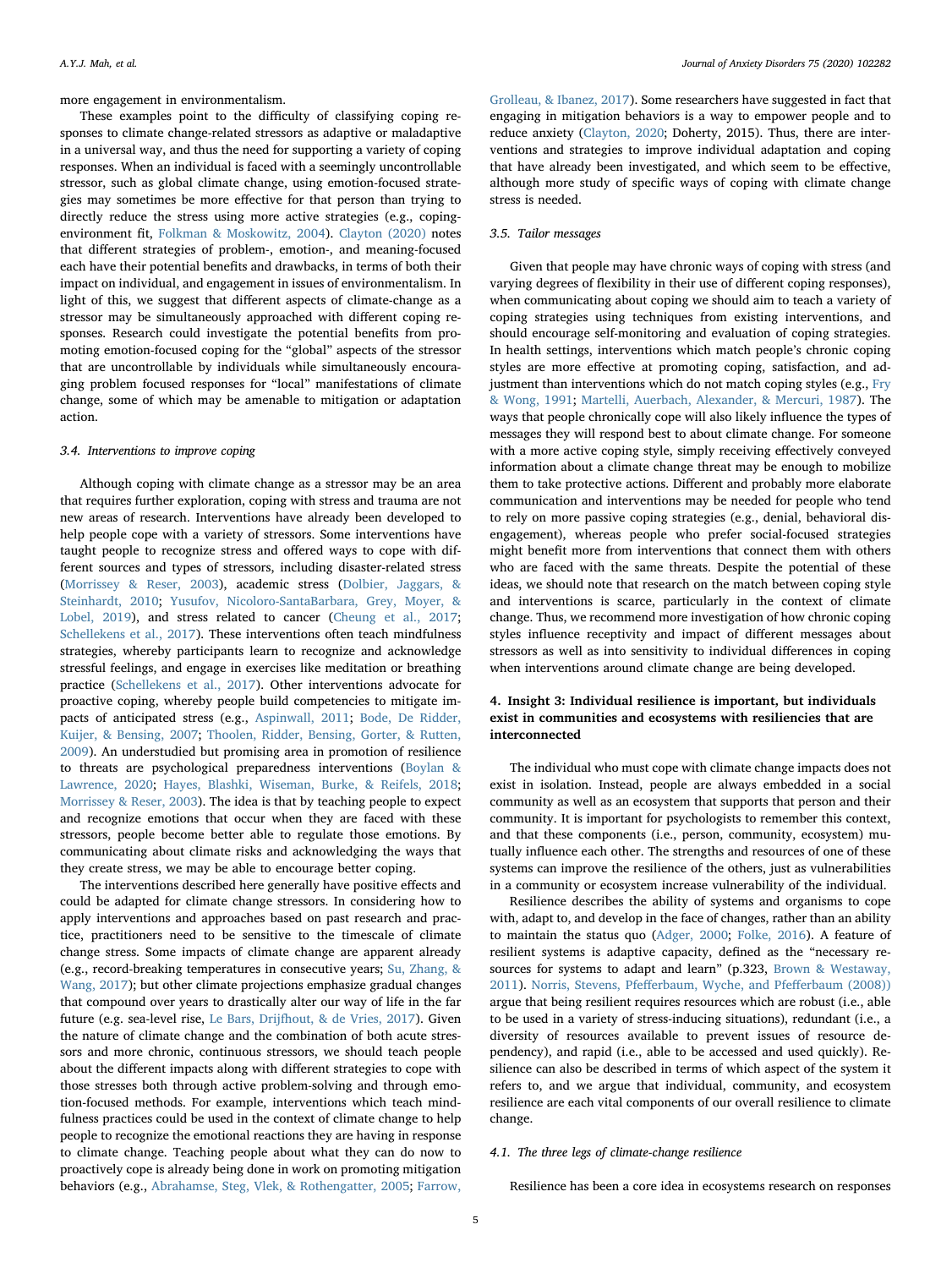more engagement in environmentalism.

These examples point to the difficulty of classifying coping responses to climate change-related stressors as adaptive or maladaptive in a universal way, and thus the need for supporting a variety of coping responses. When an individual is faced with a seemingly uncontrollable stressor, such as global climate change, using emotion-focused strategies may sometimes be more effective for that person than trying to directly reduce the stress using more active strategies (e.g., copingenvironment fit, [Folkman & Moskowitz, 2004\)](#page-7-7). [Clayton \(2020\)](#page-6-3) notes that different strategies of problem-, emotion-, and meaning-focused each have their potential benefits and drawbacks, in terms of both their impact on individual, and engagement in issues of environmentalism. In light of this, we suggest that different aspects of climate-change as a stressor may be simultaneously approached with different coping responses. Research could investigate the potential benefits from promoting emotion-focused coping for the "global" aspects of the stressor that are uncontrollable by individuals while simultaneously encouraging problem focused responses for "local" manifestations of climate change, some of which may be amenable to mitigation or adaptation action.

#### 3.4. Interventions to improve coping

Although coping with climate change as a stressor may be an area that requires further exploration, coping with stress and trauma are not new areas of research. Interventions have already been developed to help people cope with a variety of stressors. Some interventions have taught people to recognize stress and offered ways to cope with different sources and types of stressors, including disaster-related stress ([Morrissey & Reser, 2003](#page-7-16)), academic stress ([Dolbier, Jaggars, &](#page-6-27) [Steinhardt, 2010](#page-6-27); [Yusufov, Nicoloro-SantaBarbara, Grey, Moyer, &](#page-8-21) [Lobel, 2019](#page-8-21)), and stress related to cancer ([Cheung et al., 2017](#page-6-28); [Schellekens et al., 2017\)](#page-8-22). These interventions often teach mindfulness strategies, whereby participants learn to recognize and acknowledge stressful feelings, and engage in exercises like meditation or breathing practice ([Schellekens et al., 2017](#page-8-22)). Other interventions advocate for proactive coping, whereby people build competencies to mitigate impacts of anticipated stress (e.g., [Aspinwall, 2011](#page-6-29); [Bode, De Ridder,](#page-6-30) [Kuijer, & Bensing, 2007](#page-6-30); [Thoolen, Ridder, Bensing, Gorter, & Rutten,](#page-8-23) [2009\)](#page-8-23). An understudied but promising area in promotion of resilience to threats are psychological preparedness interventions ([Boylan &](#page-6-31) [Lawrence, 2020;](#page-6-31) [Hayes, Blashki, Wiseman, Burke, & Reifels, 2018](#page-7-43); [Morrissey & Reser, 2003\)](#page-7-16). The idea is that by teaching people to expect and recognize emotions that occur when they are faced with these stressors, people become better able to regulate those emotions. By communicating about climate risks and acknowledging the ways that they create stress, we may be able to encourage better coping.

The interventions described here generally have positive effects and could be adapted for climate change stressors. In considering how to apply interventions and approaches based on past research and practice, practitioners need to be sensitive to the timescale of climate change stress. Some impacts of climate change are apparent already (e.g., record-breaking temperatures in consecutive years; [Su, Zhang, &](#page-8-24) [Wang, 2017](#page-8-24)); but other climate projections emphasize gradual changes that compound over years to drastically alter our way of life in the far future (e.g. sea-level rise, [Le Bars, Drijfhout, & de Vries, 2017](#page-7-44)). Given the nature of climate change and the combination of both acute stressors and more chronic, continuous stressors, we should teach people about the different impacts along with different strategies to cope with those stresses both through active problem-solving and through emotion-focused methods. For example, interventions which teach mindfulness practices could be used in the context of climate change to help people to recognize the emotional reactions they are having in response to climate change. Teaching people about what they can do now to proactively cope is already being done in work on promoting mitigation behaviors (e.g., [Abrahamse, Steg, Vlek, & Rothengatter, 2005](#page-6-32); [Farrow,](#page-6-33)

[Grolleau, & Ibanez, 2017](#page-6-33)). Some researchers have suggested in fact that engaging in mitigation behaviors is a way to empower people and to reduce anxiety [\(Clayton, 2020;](#page-6-3) Doherty, 2015). Thus, there are interventions and strategies to improve individual adaptation and coping that have already been investigated, and which seem to be effective, although more study of specific ways of coping with climate change stress is needed.

## 3.5. Tailor messages

Given that people may have chronic ways of coping with stress (and varying degrees of flexibility in their use of different coping responses), when communicating about coping we should aim to teach a variety of coping strategies using techniques from existing interventions, and should encourage self-monitoring and evaluation of coping strategies. In health settings, interventions which match people's chronic coping styles are more effective at promoting coping, satisfaction, and ad-justment than interventions which do not match coping styles (e.g., [Fry](#page-7-45) [& Wong, 1991;](#page-7-45) [Martelli, Auerbach, Alexander, & Mercuri, 1987](#page-7-46)). The ways that people chronically cope will also likely influence the types of messages they will respond best to about climate change. For someone with a more active coping style, simply receiving effectively conveyed information about a climate change threat may be enough to mobilize them to take protective actions. Different and probably more elaborate communication and interventions may be needed for people who tend to rely on more passive coping strategies (e.g., denial, behavioral disengagement), whereas people who prefer social-focused strategies might benefit more from interventions that connect them with others who are faced with the same threats. Despite the potential of these ideas, we should note that research on the match between coping style and interventions is scarce, particularly in the context of climate change. Thus, we recommend more investigation of how chronic coping styles influence receptivity and impact of different messages about stressors as well as into sensitivity to individual differences in coping when interventions around climate change are being developed.

## 4. Insight 3: Individual resilience is important, but individuals exist in communities and ecosystems with resiliencies that are interconnected

The individual who must cope with climate change impacts does not exist in isolation. Instead, people are always embedded in a social community as well as an ecosystem that supports that person and their community. It is important for psychologists to remember this context, and that these components (i.e., person, community, ecosystem) mutually influence each other. The strengths and resources of one of these systems can improve the resilience of the others, just as vulnerabilities in a community or ecosystem increase vulnerability of the individual.

Resilience describes the ability of systems and organisms to cope with, adapt to, and develop in the face of changes, rather than an ability to maintain the status quo ([Adger, 2000;](#page-6-34) [Folke, 2016\)](#page-7-47). A feature of resilient systems is adaptive capacity, defined as the "necessary resources for systems to adapt and learn" (p.323, [Brown & Westaway,](#page-6-35) [2011\)](#page-6-35). Norris, Stevens, Pfeff[erbaum, Wyche, and Pfe](#page-7-48)fferbaum (2008)) argue that being resilient requires resources which are robust (i.e., able to be used in a variety of stress-inducing situations), redundant (i.e., a diversity of resources available to prevent issues of resource dependency), and rapid (i.e., able to be accessed and used quickly). Resilience can also be described in terms of which aspect of the system it refers to, and we argue that individual, community, and ecosystem resilience are each vital components of our overall resilience to climate change.

#### 4.1. The three legs of climate-change resilience

Resilience has been a core idea in ecosystems research on responses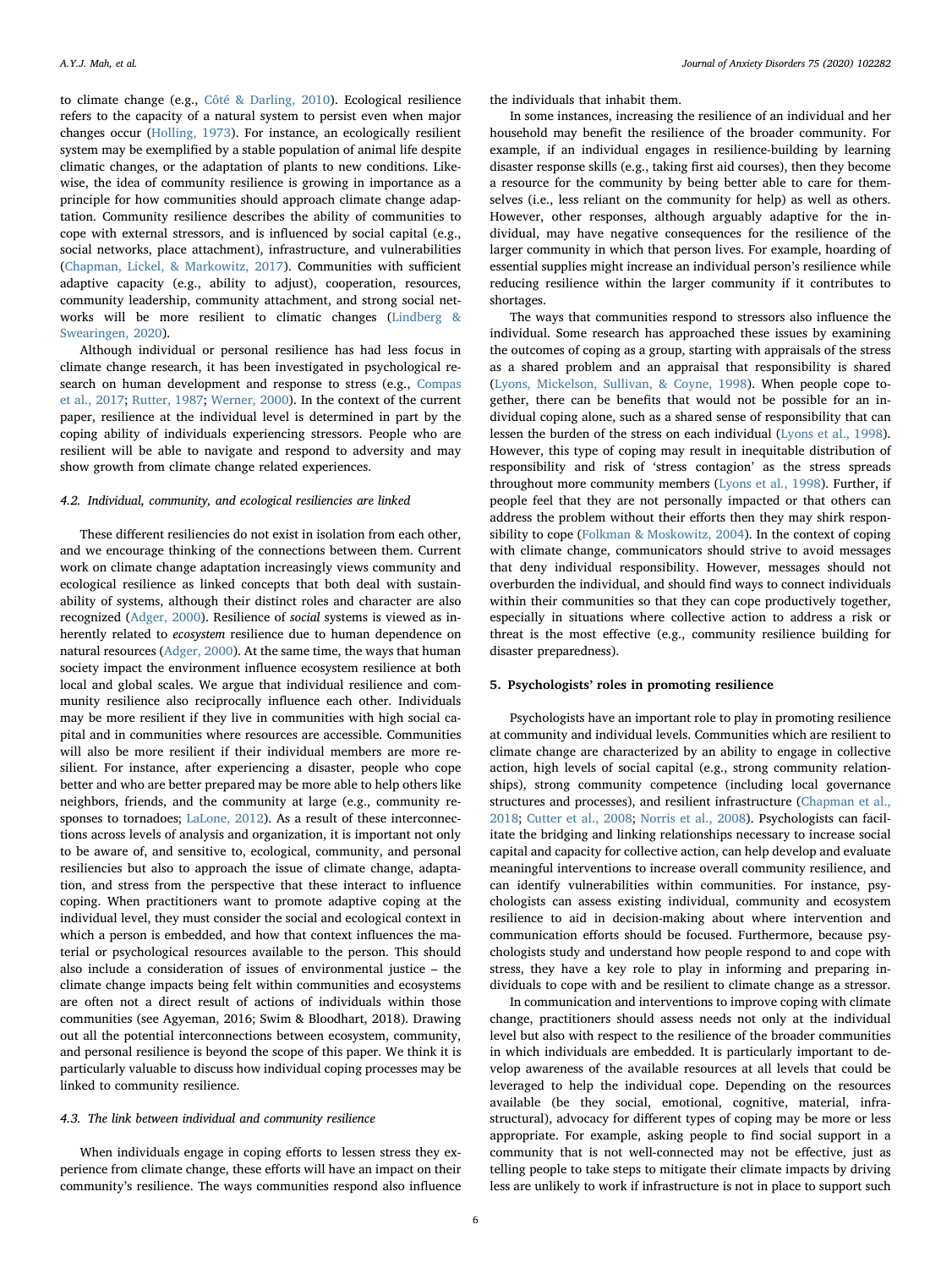to climate change (e.g., [Côté & Darling, 2010\)](#page-6-36). Ecological resilience refers to the capacity of a natural system to persist even when major changes occur ([Holling, 1973\)](#page-7-49). For instance, an ecologically resilient system may be exemplified by a stable population of animal life despite climatic changes, or the adaptation of plants to new conditions. Likewise, the idea of community resilience is growing in importance as a principle for how communities should approach climate change adaptation. Community resilience describes the ability of communities to cope with external stressors, and is influenced by social capital (e.g., social networks, place attachment), infrastructure, and vulnerabilities ([Chapman, Lickel, & Markowitz, 2017](#page-6-37)). Communities with sufficient adaptive capacity (e.g., ability to adjust), cooperation, resources, community leadership, community attachment, and strong social networks will be more resilient to climatic changes [\(Lindberg &](#page-7-50) [Swearingen, 2020](#page-7-50)).

Although individual or personal resilience has had less focus in climate change research, it has been investigated in psychological research on human development and response to stress (e.g., [Compas](#page-6-38) [et al., 2017;](#page-6-38) [Rutter, 1987](#page-8-25); [Werner, 2000\)](#page-8-26). In the context of the current paper, resilience at the individual level is determined in part by the coping ability of individuals experiencing stressors. People who are resilient will be able to navigate and respond to adversity and may show growth from climate change related experiences.

#### 4.2. Individual, community, and ecological resiliencies are linked

These different resiliencies do not exist in isolation from each other, and we encourage thinking of the connections between them. Current work on climate change adaptation increasingly views community and ecological resilience as linked concepts that both deal with sustainability of systems, although their distinct roles and character are also recognized ([Adger, 2000\)](#page-6-34). Resilience of social systems is viewed as inherently related to ecosystem resilience due to human dependence on natural resources ([Adger, 2000\)](#page-6-34). At the same time, the ways that human society impact the environment influence ecosystem resilience at both local and global scales. We argue that individual resilience and community resilience also reciprocally influence each other. Individuals may be more resilient if they live in communities with high social capital and in communities where resources are accessible. Communities will also be more resilient if their individual members are more resilient. For instance, after experiencing a disaster, people who cope better and who are better prepared may be more able to help others like neighbors, friends, and the community at large (e.g., community responses to tornadoes; [LaLone, 2012\)](#page-7-51). As a result of these interconnections across levels of analysis and organization, it is important not only to be aware of, and sensitive to, ecological, community, and personal resiliencies but also to approach the issue of climate change, adaptation, and stress from the perspective that these interact to influence coping. When practitioners want to promote adaptive coping at the individual level, they must consider the social and ecological context in which a person is embedded, and how that context influences the material or psychological resources available to the person. This should also include a consideration of issues of environmental justice – the climate change impacts being felt within communities and ecosystems are often not a direct result of actions of individuals within those communities (see Agyeman, 2016; Swim & Bloodhart, 2018). Drawing out all the potential interconnections between ecosystem, community, and personal resilience is beyond the scope of this paper. We think it is particularly valuable to discuss how individual coping processes may be linked to community resilience.

#### 4.3. The link between individual and community resilience

When individuals engage in coping efforts to lessen stress they experience from climate change, these efforts will have an impact on their community's resilience. The ways communities respond also influence the individuals that inhabit them.

In some instances, increasing the resilience of an individual and her household may benefit the resilience of the broader community. For example, if an individual engages in resilience-building by learning disaster response skills (e.g., taking first aid courses), then they become a resource for the community by being better able to care for themselves (i.e., less reliant on the community for help) as well as others. However, other responses, although arguably adaptive for the individual, may have negative consequences for the resilience of the larger community in which that person lives. For example, hoarding of essential supplies might increase an individual person's resilience while reducing resilience within the larger community if it contributes to shortages.

The ways that communities respond to stressors also influence the individual. Some research has approached these issues by examining the outcomes of coping as a group, starting with appraisals of the stress as a shared problem and an appraisal that responsibility is shared ([Lyons, Mickelson, Sullivan, & Coyne, 1998\)](#page-7-52). When people cope together, there can be benefits that would not be possible for an individual coping alone, such as a shared sense of responsibility that can lessen the burden of the stress on each individual ([Lyons et al., 1998](#page-7-52)). However, this type of coping may result in inequitable distribution of responsibility and risk of 'stress contagion' as the stress spreads throughout more community members ([Lyons et al., 1998\)](#page-7-52). Further, if people feel that they are not personally impacted or that others can address the problem without their efforts then they may shirk responsibility to cope [\(Folkman & Moskowitz, 2004\)](#page-7-7). In the context of coping with climate change, communicators should strive to avoid messages that deny individual responsibility. However, messages should not overburden the individual, and should find ways to connect individuals within their communities so that they can cope productively together, especially in situations where collective action to address a risk or threat is the most effective (e.g., community resilience building for disaster preparedness).

## 5. Psychologists' roles in promoting resilience

Psychologists have an important role to play in promoting resilience at community and individual levels. Communities which are resilient to climate change are characterized by an ability to engage in collective action, high levels of social capital (e.g., strong community relationships), strong community competence (including local governance structures and processes), and resilient infrastructure [\(Chapman et al.,](#page-6-15) [2018;](#page-6-15) [Cutter et al., 2008;](#page-6-39) [Norris et al., 2008\)](#page-7-48). Psychologists can facilitate the bridging and linking relationships necessary to increase social capital and capacity for collective action, can help develop and evaluate meaningful interventions to increase overall community resilience, and can identify vulnerabilities within communities. For instance, psychologists can assess existing individual, community and ecosystem resilience to aid in decision-making about where intervention and communication efforts should be focused. Furthermore, because psychologists study and understand how people respond to and cope with stress, they have a key role to play in informing and preparing individuals to cope with and be resilient to climate change as a stressor.

In communication and interventions to improve coping with climate change, practitioners should assess needs not only at the individual level but also with respect to the resilience of the broader communities in which individuals are embedded. It is particularly important to develop awareness of the available resources at all levels that could be leveraged to help the individual cope. Depending on the resources available (be they social, emotional, cognitive, material, infrastructural), advocacy for different types of coping may be more or less appropriate. For example, asking people to find social support in a community that is not well-connected may not be effective, just as telling people to take steps to mitigate their climate impacts by driving less are unlikely to work if infrastructure is not in place to support such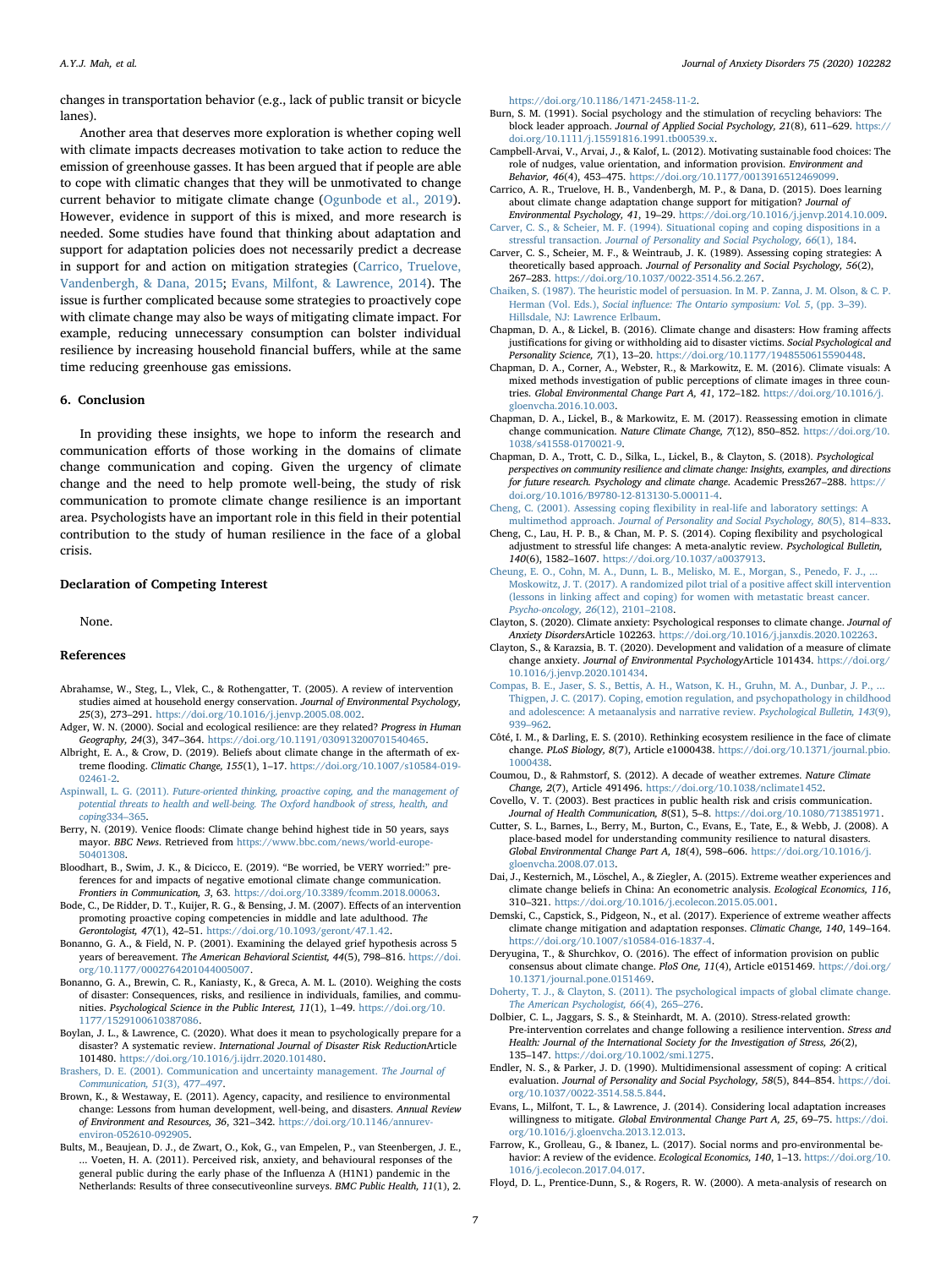changes in transportation behavior (e.g., lack of public transit or bicycle lanes).

Another area that deserves more exploration is whether coping well with climate impacts decreases motivation to take action to reduce the emission of greenhouse gasses. It has been argued that if people are able to cope with climatic changes that they will be unmotivated to change current behavior to mitigate climate change ([Ogunbode et al., 2019](#page-7-17)). However, evidence in support of this is mixed, and more research is needed. Some studies have found that thinking about adaptation and support for adaptation policies does not necessarily predict a decrease in support for and action on mitigation strategies [\(Carrico, Truelove,](#page-6-40) [Vandenbergh, & Dana, 2015;](#page-6-40) [Evans, Milfont, & Lawrence, 2014](#page-6-41)). The issue is further complicated because some strategies to proactively cope with climate change may also be ways of mitigating climate impact. For example, reducing unnecessary consumption can bolster individual resilience by increasing household financial buffers, while at the same time reducing greenhouse gas emissions.

#### 6. Conclusion

In providing these insights, we hope to inform the research and communication efforts of those working in the domains of climate change communication and coping. Given the urgency of climate change and the need to help promote well-being, the study of risk communication to promote climate change resilience is an important area. Psychologists have an important role in this field in their potential contribution to the study of human resilience in the face of a global crisis.

### Declaration of Competing Interest

None.

#### References

- <span id="page-6-32"></span>Abrahamse, W., Steg, L., Vlek, C., & Rothengatter, T. (2005). A review of intervention studies aimed at household energy conservation. Journal of Environmental Psychology, 25(3), 273–291. <https://doi.org/10.1016/j.jenvp.2005.08.002>.
- <span id="page-6-34"></span>Adger, W. N. (2000). Social and ecological resilience: are they related? Progress in Human Geography, 24(3), 347–364. <https://doi.org/10.1191/030913200701540465>.
- <span id="page-6-10"></span>Albright, E. A., & Crow, D. (2019). Beliefs about climate change in the aftermath of extreme flooding. Climatic Change, 155(1), 1–17. [https://doi.org/10.1007/s10584-019-](https://doi.org/10.1007/s10584-019-02461-2) [02461-2](https://doi.org/10.1007/s10584-019-02461-2).
- <span id="page-6-29"></span>Aspinwall, L. G. (2011). [Future-oriented thinking, proactive coping, and the management of](http://refhub.elsevier.com/S0887-6185(20)30096-7/sbref0020) [potential threats to health and well-being. The Oxford handbook of stress, health, and](http://refhub.elsevier.com/S0887-6185(20)30096-7/sbref0020) [coping](http://refhub.elsevier.com/S0887-6185(20)30096-7/sbref0020)334–365.
- <span id="page-6-0"></span>Berry, N. (2019). Venice floods: Climate change behind highest tide in 50 years, says mayor. BBC News. Retrieved from [https://www.bbc.com/news/world-europe-](https://www.bbc.com/news/world-europe-50401308)[50401308](https://www.bbc.com/news/world-europe-50401308).
- <span id="page-6-12"></span>Bloodhart, B., Swim, J. K., & Dicicco, E. (2019). "Be worried, be VERY worried:" preferences for and impacts of negative emotional climate change communication. Frontiers in Communication, 3, 63. [https://doi.org/10.3389/fcomm.2018.00063.](https://doi.org/10.3389/fcomm.2018.00063)
- <span id="page-6-30"></span>Bode, C., De Ridder, D. T., Kuijer, R. G., & Bensing, J. M. (2007). Effects of an intervention promoting proactive coping competencies in middle and late adulthood. The Gerontologist, 47(1), 42–51. [https://doi.org/10.1093/geront/47.1.42.](https://doi.org/10.1093/geront/47.1.42)
- <span id="page-6-26"></span>Bonanno, G. A., & Field, N. P. (2001). Examining the delayed grief hypothesis across 5 years of bereavement. The American Behavioral Scientist, 44(5), 798–816. [https://doi.](https://doi.org/10.1177/0002764201044005007) [org/10.1177/0002764201044005007.](https://doi.org/10.1177/0002764201044005007)
- <span id="page-6-2"></span>Bonanno, G. A., Brewin, C. R., Kaniasty, K., & Greca, A. M. L. (2010). Weighing the costs of disaster: Consequences, risks, and resilience in individuals, families, and communities. Psychological Science in the Public Interest, 11(1), 1–49. [https://doi.org/10.](https://doi.org/10.1177/1529100610387086) [1177/1529100610387086](https://doi.org/10.1177/1529100610387086).
- <span id="page-6-31"></span>Boylan, J. L., & Lawrence, C. (2020). What does it mean to psychologically prepare for a disaster? A systematic review. International Journal of Disaster Risk ReductionArticle 101480. <https://doi.org/10.1016/j.ijdrr.2020.101480>.
- <span id="page-6-19"></span>[Brashers, D. E. \(2001\). Communication and uncertainty management.](http://refhub.elsevier.com/S0887-6185(20)30096-7/sbref0055) The Journal of [Communication, 51](http://refhub.elsevier.com/S0887-6185(20)30096-7/sbref0055)(3), 477–497.
- <span id="page-6-35"></span>Brown, K., & Westaway, E. (2011). Agency, capacity, and resilience to environmental change: Lessons from human development, well-being, and disasters. Annual Review of Environment and Resources, 36, 321–342. [https://doi.org/10.1146/annurev](https://doi.org/10.1146/annurev-environ-052610-092905)[environ-052610-092905](https://doi.org/10.1146/annurev-environ-052610-092905).
- <span id="page-6-14"></span>Bults, M., Beaujean, D. J., de Zwart, O., Kok, G., van Empelen, P., van Steenbergen, J. E., ... Voeten, H. A. (2011). Perceived risk, anxiety, and behavioural responses of the general public during the early phase of the Influenza A (H1N1) pandemic in the Netherlands: Results of three consecutiveonline surveys. BMC Public Health, 11(1), 2.

[https://doi.org/10.1186/1471-2458-11-2.](https://doi.org/10.1186/1471-2458-11-2)

- <span id="page-6-18"></span>Burn, S. M. (1991). Social psychology and the stimulation of recycling behaviors: The block leader approach. Journal of Applied Social Psychology, 21(8), 611–629. [https://](https://doi.org/10.1111/j.15591816.1991.tb00539.x) [doi.org/10.1111/j.15591816.1991.tb00539.x](https://doi.org/10.1111/j.15591816.1991.tb00539.x).
- <span id="page-6-5"></span>Campbell-Arvai, V., Arvai, J., & Kalof, L. (2012). Motivating sustainable food choices: The role of nudges, value orientation, and information provision. Environment and Behavior, 46(4), 453–475. <https://doi.org/10.1177/0013916512469099>.
- <span id="page-6-40"></span>Carrico, A. R., Truelove, H. B., Vandenbergh, M. P., & Dana, D. (2015). Does learning about climate change adaptation change support for mitigation? Journal of Environmental Psychology, 41, 19–29. [https://doi.org/10.1016/j.jenvp.2014.10.009.](https://doi.org/10.1016/j.jenvp.2014.10.009)
- <span id="page-6-23"></span>[Carver, C. S., & Scheier, M. F. \(1994\). Situational coping and coping dispositions in a](http://refhub.elsevier.com/S0887-6185(20)30096-7/sbref0085) stressful transaction. [Journal of Personality and Social Psychology, 66](http://refhub.elsevier.com/S0887-6185(20)30096-7/sbref0085)(1), 184.
- <span id="page-6-22"></span>Carver, C. S., Scheier, M. F., & Weintraub, J. K. (1989). Assessing coping strategies: A theoretically based approach. Journal of Personality and Social Psychology, 56(2), 267–283. [https://doi.org/10.1037/0022-3514.56.2.267.](https://doi.org/10.1037/0022-3514.56.2.267)
- <span id="page-6-16"></span>[Chaiken, S. \(1987\). The heuristic model of persuasion. In M. P. Zanna, J. M. Olson, & C. P.](http://refhub.elsevier.com/S0887-6185(20)30096-7/sbref0095) Herman (Vol. Eds.), Social infl[uence: The Ontario symposium: Vol. 5](http://refhub.elsevier.com/S0887-6185(20)30096-7/sbref0095), (pp. 3–39). [Hillsdale, NJ: Lawrence Erlbaum.](http://refhub.elsevier.com/S0887-6185(20)30096-7/sbref0095)
- <span id="page-6-11"></span>Chapman, D. A., & Lickel, B. (2016). Climate change and disasters: How framing affects justifications for giving or withholding aid to disaster victims. Social Psychological and Personality Science, 7(1), 13–20. <https://doi.org/10.1177/1948550615590448>.
- <span id="page-6-7"></span>Chapman, D. A., Corner, A., Webster, R., & Markowitz, E. M. (2016). Climate visuals: A mixed methods investigation of public perceptions of climate images in three countries. Global Environmental Change Part A, 41, 172–182. [https://doi.org/10.1016/j.](https://doi.org/10.1016/j.gloenvcha.2016.10.003) [gloenvcha.2016.10.003.](https://doi.org/10.1016/j.gloenvcha.2016.10.003)
- <span id="page-6-37"></span>Chapman, D. A., Lickel, B., & Markowitz, E. M. (2017). Reassessing emotion in climate change communication. Nature Climate Change, 7(12), 850–852. [https://doi.org/10.](https://doi.org/10.1038/s41558-0170021-9) [1038/s41558-0170021-9](https://doi.org/10.1038/s41558-0170021-9).
- <span id="page-6-15"></span>Chapman, D. A., Trott, C. D., Silka, L., Lickel, B., & Clayton, S. (2018). Psychological perspectives on community resilience and climate change: Insights, examples, and directions for future research. Psychology and climate change. Academic Press267–288. [https://](https://doi.org/10.1016/B9780-12-813130-5.00011-4) [doi.org/10.1016/B9780-12-813130-5.00011-4](https://doi.org/10.1016/B9780-12-813130-5.00011-4).
- <span id="page-6-24"></span>Cheng, C. (2001). Assessing coping fl[exibility in real-life and laboratory settings: A](http://refhub.elsevier.com/S0887-6185(20)30096-7/sbref0120) multimethod approach. [Journal of Personality and Social Psychology, 80](http://refhub.elsevier.com/S0887-6185(20)30096-7/sbref0120)(5), 814–833.
- <span id="page-6-25"></span>Cheng, C., Lau, H. P. B., & Chan, M. P. S. (2014). Coping flexibility and psychological adjustment to stressful life changes: A meta-analytic review. Psychological Bulletin, 140(6), 1582–1607. <https://doi.org/10.1037/a0037913>.
- <span id="page-6-28"></span>[Cheung, E. O., Cohn, M. A., Dunn, L. B., Melisko, M. E., Morgan, S., Penedo, F. J., ...](http://refhub.elsevier.com/S0887-6185(20)30096-7/sbref0130) [Moskowitz, J. T. \(2017\). A randomized pilot trial of a positive a](http://refhub.elsevier.com/S0887-6185(20)30096-7/sbref0130)ffect skill intervention (lessons in linking aff[ect and coping\) for women with metastatic breast cancer.](http://refhub.elsevier.com/S0887-6185(20)30096-7/sbref0130) Psycho‐[oncology, 26](http://refhub.elsevier.com/S0887-6185(20)30096-7/sbref0130)(12), 2101–2108.
- <span id="page-6-3"></span>Clayton, S. (2020). Climate anxiety: Psychological responses to climate change. Journal of Anxiety DisordersArticle 102263. <https://doi.org/10.1016/j.janxdis.2020.102263>.
- <span id="page-6-4"></span>Clayton, S., & Karazsia, B. T. (2020). Development and validation of a measure of climate change anxiety. Journal of Environmental PsychologyArticle 101434. [https://doi.org/](https://doi.org/10.1016/j.jenvp.2020.101434) [10.1016/j.jenvp.2020.101434.](https://doi.org/10.1016/j.jenvp.2020.101434)
- <span id="page-6-38"></span>[Compas, B. E., Jaser, S. S., Bettis, A. H., Watson, K. H., Gruhn, M. A., Dunbar, J. P., ...](http://refhub.elsevier.com/S0887-6185(20)30096-7/sbref0145) [Thigpen, J. C. \(2017\). Coping, emotion regulation, and psychopathology in childhood](http://refhub.elsevier.com/S0887-6185(20)30096-7/sbref0145) [and adolescence: A metaanalysis and narrative review.](http://refhub.elsevier.com/S0887-6185(20)30096-7/sbref0145) Psychological Bulletin, 143(9), 939–[962](http://refhub.elsevier.com/S0887-6185(20)30096-7/sbref0145).
- <span id="page-6-36"></span>Côté, I. M., & Darling, E. S. (2010). Rethinking ecosystem resilience in the face of climate change. PLoS Biology, 8(7), Article e1000438. [https://doi.org/10.1371/journal.pbio.](https://doi.org/10.1371/journal.pbio.1000438) [1000438.](https://doi.org/10.1371/journal.pbio.1000438)
- <span id="page-6-20"></span>Coumou, D., & Rahmstorf, S. (2012). A decade of weather extremes. Nature Climate Change, 2(7), Article 491496. [https://doi.org/10.1038/nclimate1452.](https://doi.org/10.1038/nclimate1452)
- <span id="page-6-17"></span>Covello, V. T. (2003). Best practices in public health risk and crisis communication. Journal of Health Communication, 8(S1), 5–8. [https://doi.org/10.1080/713851971.](https://doi.org/10.1080/713851971)
- <span id="page-6-39"></span>Cutter, S. L., Barnes, L., Berry, M., Burton, C., Evans, E., Tate, E., & Webb, J. (2008). A place-based model for understanding community resilience to natural disasters. Global Environmental Change Part A, 18(4), 598–606. [https://doi.org/10.1016/j.](https://doi.org/10.1016/j.gloenvcha.2008.07.013) [gloenvcha.2008.07.013.](https://doi.org/10.1016/j.gloenvcha.2008.07.013)
- <span id="page-6-8"></span>Dai, J., Kesternich, M., Löschel, A., & Ziegler, A. (2015). Extreme weather experiences and climate change beliefs in China: An econometric analysis. Ecological Economics, 116, 310–321. [https://doi.org/10.1016/j.ecolecon.2015.05.001.](https://doi.org/10.1016/j.ecolecon.2015.05.001)
- <span id="page-6-9"></span>Demski, C., Capstick, S., Pidgeon, N., et al. (2017). Experience of extreme weather affects climate change mitigation and adaptation responses. Climatic Change, 140, 149–164. [https://doi.org/10.1007/s10584-016-1837-4.](https://doi.org/10.1007/s10584-016-1837-4)
- <span id="page-6-6"></span>Deryugina, T., & Shurchkov, O. (2016). The effect of information provision on public consensus about climate change. PloS One, 11(4), Article e0151469. [https://doi.org/](https://doi.org/10.1371/journal.pone.0151469) [10.1371/journal.pone.0151469.](https://doi.org/10.1371/journal.pone.0151469)
- <span id="page-6-1"></span>[Doherty, T. J., & Clayton, S. \(2011\). The psychological impacts of global climate change.](http://refhub.elsevier.com/S0887-6185(20)30096-7/sbref0185) [The American Psychologist, 66](http://refhub.elsevier.com/S0887-6185(20)30096-7/sbref0185)(4), 265–276.
- <span id="page-6-27"></span>Dolbier, C. L., Jaggars, S. S., & Steinhardt, M. A. (2010). Stress-related growth: Pre-intervention correlates and change following a resilience intervention. Stress and Health: Journal of the International Society for the Investigation of Stress, 26(2), 135–147. <https://doi.org/10.1002/smi.1275>.
- <span id="page-6-21"></span>Endler, N. S., & Parker, J. D. (1990). Multidimensional assessment of coping: A critical evaluation. Journal of Personality and Social Psychology, 58(5), 844-854. [https://doi.](https://doi.org/10.1037/0022-3514.58.5.844) [org/10.1037/0022-3514.58.5.844](https://doi.org/10.1037/0022-3514.58.5.844).
- <span id="page-6-41"></span>Evans, L., Milfont, T. L., & Lawrence, J. (2014). Considering local adaptation increases willingness to mitigate. Global Environmental Change Part A, 25, 69–75. [https://doi.](https://doi.org/10.1016/j.gloenvcha.2013.12.013) [org/10.1016/j.gloenvcha.2013.12.013](https://doi.org/10.1016/j.gloenvcha.2013.12.013).
- <span id="page-6-33"></span>Farrow, K., Grolleau, G., & Ibanez, L. (2017). Social norms and pro-environmental behavior: A review of the evidence. Ecological Economics, 140, 1–13. [https://doi.org/10.](https://doi.org/10.1016/j.ecolecon.2017.04.017) [1016/j.ecolecon.2017.04.017.](https://doi.org/10.1016/j.ecolecon.2017.04.017)
- <span id="page-6-13"></span>Floyd, D. L., Prentice‐Dunn, S., & Rogers, R. W. (2000). A meta‐analysis of research on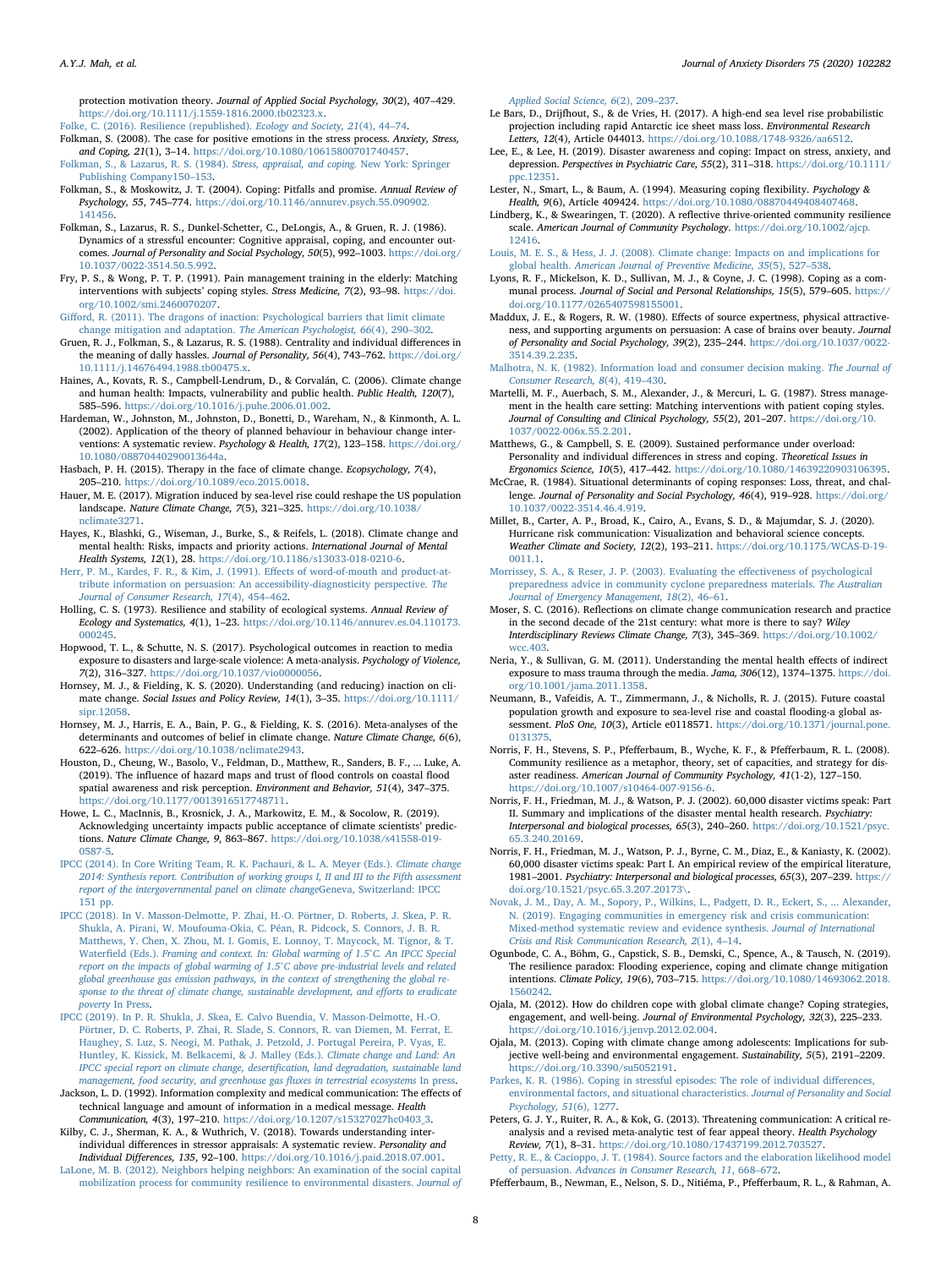protection motivation theory. Journal of Applied Social Psychology, 30(2), 407–429. <https://doi.org/10.1111/j.1559-1816.2000.tb02323.x>.

- <span id="page-7-47"></span><span id="page-7-39"></span>[Folke, C. \(2016\). Resilience \(republished\).](http://refhub.elsevier.com/S0887-6185(20)30096-7/sbref0215) Ecology and Society, 21(4), 44–74. Folkman, S. (2008). The case for positive emotions in the stress process. Anxiety, Stress,
- <span id="page-7-6"></span>and Coping, 21(1), 3–14. [https://doi.org/10.1080/10615800701740457.](https://doi.org/10.1080/10615800701740457) [Folkman, S., & Lazarus, R. S. \(1984\).](http://refhub.elsevier.com/S0887-6185(20)30096-7/sbref0225) Stress, appraisal, and coping. New York: Springer [Publishing Company150](http://refhub.elsevier.com/S0887-6185(20)30096-7/sbref0225)–153.
- <span id="page-7-7"></span>Folkman, S., & Moskowitz, J. T. (2004). Coping: Pitfalls and promise. Annual Review of Psychology, 55, 745–774. [https://doi.org/10.1146/annurev.psych.55.090902.](https://doi.org/10.1146/annurev.psych.55.090902.141456) [141456](https://doi.org/10.1146/annurev.psych.55.090902.141456).
- <span id="page-7-23"></span>Folkman, S., Lazarus, R. S., Dunkel-Schetter, C., DeLongis, A., & Gruen, R. J. (1986). Dynamics of a stressful encounter: Cognitive appraisal, coping, and encounter outcomes. Journal of Personality and Social Psychology, 50(5), 992–1003. [https://doi.org/](https://doi.org/10.1037/0022-3514.50.5.992) [10.1037/0022-3514.50.5.992.](https://doi.org/10.1037/0022-3514.50.5.992)
- <span id="page-7-45"></span>Fry, P. S., & Wong, P. T. P. (1991). Pain management training in the elderly: Matching interventions with subjects' coping styles. Stress Medicine, 7(2), 93–98. [https://doi.](https://doi.org/10.1002/smi.2460070207) [org/10.1002/smi.2460070207](https://doi.org/10.1002/smi.2460070207).
- <span id="page-7-3"></span>Giff[ord, R. \(2011\). The dragons of inaction: Psychological barriers that limit climate](http://refhub.elsevier.com/S0887-6185(20)30096-7/sbref0245) [change mitigation and adaptation.](http://refhub.elsevier.com/S0887-6185(20)30096-7/sbref0245) The American Psychologist, 66(4), 290–302.
- <span id="page-7-36"></span>Gruen, R. J., Folkman, S., & Lazarus, R. S. (1988). Centrality and individual differences in the meaning of dally hassles. Journal of Personality, 56(4), 743-762. [https://doi.org/](https://doi.org/10.1111/j.14676494.1988.tb00475.x) [10.1111/j.14676494.1988.tb00475.x.](https://doi.org/10.1111/j.14676494.1988.tb00475.x)
- <span id="page-7-29"></span>Haines, A., Kovats, R. S., Campbell-Lendrum, D., & Corvalán, C. (2006). Climate change and human health: Impacts, vulnerability and public health. Public Health, 120(7), 585–596. <https://doi.org/10.1016/j.puhe.2006.01.002>.
- <span id="page-7-10"></span>Hardeman, W., Johnston, M., Johnston, D., Bonetti, D., Wareham, N., & Kinmonth, A. L. (2002). Application of the theory of planned behaviour in behaviour change interventions: A systematic review. Psychology & Health, 17(2), 123–158. [https://doi.org/](https://doi.org/10.1080/08870440290013644a) [10.1080/08870440290013644a](https://doi.org/10.1080/08870440290013644a).
- <span id="page-7-9"></span>Hasbach, P. H. (2015). Therapy in the face of climate change. Ecopsychology, 7(4), 205–210. [https://doi.org/10.1089/eco.2015.0018.](https://doi.org/10.1089/eco.2015.0018)
- <span id="page-7-1"></span>Hauer, M. E. (2017). Migration induced by sea-level rise could reshape the US population landscape. Nature Climate Change, 7(5), 321-325. https://doi.org/10.1038 [nclimate3271](https://doi.org/10.1038/nclimate3271).
- <span id="page-7-43"></span>Hayes, K., Blashki, G., Wiseman, J., Burke, S., & Reifels, L. (2018). Climate change and mental health: Risks, impacts and priority actions. International Journal of Mental Health Systems, 12(1), 28. [https://doi.org/10.1186/s13033-018-0210-6.](https://doi.org/10.1186/s13033-018-0210-6)
- <span id="page-7-26"></span>[Herr, P. M., Kardes, F. R., & Kim, J. \(1991\). E](http://refhub.elsevier.com/S0887-6185(20)30096-7/sbref0280)ffects of word-of-mouth and product-at[tribute information on persuasion: An accessibility-diagnosticity perspective.](http://refhub.elsevier.com/S0887-6185(20)30096-7/sbref0280) The [Journal of Consumer Research, 17](http://refhub.elsevier.com/S0887-6185(20)30096-7/sbref0280)(4), 454–462.
- <span id="page-7-49"></span>Holling, C. S. (1973). Resilience and stability of ecological systems. Annual Review of Ecology and Systematics, 4(1), 1–23. [https://doi.org/10.1146/annurev.es.04.110173.](https://doi.org/10.1146/annurev.es.04.110173.000245) [000245](https://doi.org/10.1146/annurev.es.04.110173.000245).
- <span id="page-7-19"></span>Hopwood, T. L., & Schutte, N. S. (2017). Psychological outcomes in reaction to media exposure to disasters and large-scale violence: A meta-analysis. Psychology of Violence, 7(2), 316–327. [https://doi.org/10.1037/vio0000056.](https://doi.org/10.1037/vio0000056)
- <span id="page-7-5"></span>Hornsey, M. J., & Fielding, K. S. (2020). Understanding (and reducing) inaction on climate change. Social Issues and Policy Review, 14(1), 3–35. [https://doi.org/10.1111/](https://doi.org/10.1111/sipr.12058) [sipr.12058.](https://doi.org/10.1111/sipr.12058)
- <span id="page-7-4"></span>Hornsey, M. J., Harris, E. A., Bain, P. G., & Fielding, K. S. (2016). Meta-analyses of the determinants and outcomes of belief in climate change. Nature Climate Change, 6(6), 622–626. [https://doi.org/10.1038/nclimate2943.](https://doi.org/10.1038/nclimate2943)
- <span id="page-7-15"></span>Houston, D., Cheung, W., Basolo, V., Feldman, D., Matthew, R., Sanders, B. F., ... Luke, A. (2019). The influence of hazard maps and trust of flood controls on coastal flood spatial awareness and risk perception. Environment and Behavior, 51(4), 347–375. [https://doi.org/10.1177/0013916517748711.](https://doi.org/10.1177/0013916517748711)
- <span id="page-7-28"></span>Howe, L. C., MacInnis, B., Krosnick, J. A., Markowitz, E. M., & Socolow, R. (2019). Acknowledging uncertainty impacts public acceptance of climate scientists' predictions. Nature Climate Change, 9, 863–867. [https://doi.org/10.1038/s41558-019-](https://doi.org/10.1038/s41558-019-0587-5) [0587-5.](https://doi.org/10.1038/s41558-019-0587-5)
- <span id="page-7-30"></span>[IPCC \(2014\). In Core Writing Team, R. K. Pachauri, & L. A. Meyer \(Eds.\).](http://refhub.elsevier.com/S0887-6185(20)30096-7/sbref0315) Climate change [2014: Synthesis report. Contribution of working groups I, II and III to the Fifth assessment](http://refhub.elsevier.com/S0887-6185(20)30096-7/sbref0315) [report of the intergovernmental panel on climate change](http://refhub.elsevier.com/S0887-6185(20)30096-7/sbref0315)Geneva, Switzerland: IPCC [151 pp.](http://refhub.elsevier.com/S0887-6185(20)30096-7/sbref0315)
- <span id="page-7-31"></span>[IPCC \(2018\). In V. Masson-Delmotte, P. Zhai, H.-O. Pörtner, D. Roberts, J. Skea, P. R.](http://refhub.elsevier.com/S0887-6185(20)30096-7/sbref0320) [Shukla, A. Pirani, W. Moufouma-Okia, C. Péan, R. Pidcock, S. Connors, J. B. R.](http://refhub.elsevier.com/S0887-6185(20)30096-7/sbref0320) [Matthews, Y. Chen, X. Zhou, M. I. Gomis, E. Lonnoy, T. Maycock, M. Tignor, & T.](http://refhub.elsevier.com/S0887-6185(20)30096-7/sbref0320) Waterfield (Eds.). [Framing and context. In: Global warming of 1.5°C. An IPCC Special](http://refhub.elsevier.com/S0887-6185(20)30096-7/sbref0320) [report on the impacts of global warming of 1.5°C above pre-industrial levels and related](http://refhub.elsevier.com/S0887-6185(20)30096-7/sbref0320) [global greenhouse gas emission pathways, in the context of strengthening the global re](http://refhub.elsevier.com/S0887-6185(20)30096-7/sbref0320)[sponse to the threat of climate change, sustainable development, and e](http://refhub.elsevier.com/S0887-6185(20)30096-7/sbref0320)fforts to eradicate poverty [In Press](http://refhub.elsevier.com/S0887-6185(20)30096-7/sbref0320).
- <span id="page-7-0"></span>[IPCC \(2019\). In P. R. Shukla, J. Skea, E. Calvo Buendia, V. Masson-Delmotte, H.-O.](http://refhub.elsevier.com/S0887-6185(20)30096-7/sbref0325) [Pörtner, D. C. Roberts, P. Zhai, R. Slade, S. Connors, R. van Diemen, M. Ferrat, E.](http://refhub.elsevier.com/S0887-6185(20)30096-7/sbref0325) [Haughey, S. Luz, S. Neogi, M. Pathak, J. Petzold, J. Portugal Pereira, P. Vyas, E.](http://refhub.elsevier.com/S0887-6185(20)30096-7/sbref0325) [Huntley, K. Kissick, M. Belkacemi, & J. Malley \(Eds.\).](http://refhub.elsevier.com/S0887-6185(20)30096-7/sbref0325) Climate change and Land: An [IPCC special report on climate change, deserti](http://refhub.elsevier.com/S0887-6185(20)30096-7/sbref0325)fication, land degradation, sustainable land [management, food security, and greenhouse gas](http://refhub.elsevier.com/S0887-6185(20)30096-7/sbref0325) fluxes in terrestrial ecosystems In pres.
- <span id="page-7-11"></span>Jackson, L. D. (1992). Information complexity and medical communication: The effects of technical language and amount of information in a medical message. Health Communication, 4(3), 197–210. [https://doi.org/10.1207/s15327027hc0403\\_3.](https://doi.org/10.1207/s15327027hc0403_3)

<span id="page-7-51"></span><span id="page-7-38"></span>Kilby, C. J., Sherman, K. A., & Wuthrich, V. (2018). Towards understanding interindividual differences in stressor appraisals: A systematic review. Personality and Individual Differences, 135, 92–100. [https://doi.org/10.1016/j.paid.2018.07.001.](https://doi.org/10.1016/j.paid.2018.07.001) [LaLone, M. B. \(2012\). Neighbors helping neighbors: An examination of the social capital](http://refhub.elsevier.com/S0887-6185(20)30096-7/sbref0340) [mobilization process for community resilience to environmental disasters.](http://refhub.elsevier.com/S0887-6185(20)30096-7/sbref0340) Journal of [Applied Social Science, 6](http://refhub.elsevier.com/S0887-6185(20)30096-7/sbref0340)(2), 209–237.

- <span id="page-7-44"></span>Le Bars, D., Drijfhout, S., & de Vries, H. (2017). A high-end sea level rise probabilistic projection including rapid Antarctic ice sheet mass loss. Environmental Research Letters, 12(4), Article 044013. <https://doi.org/10.1088/1748-9326/aa6512>.
- <span id="page-7-20"></span>Lee, E., & Lee, H. (2019). Disaster awareness and coping: Impact on stress, anxiety, and depression. Perspectives in Psychiatric Care, 55(2), 311-318. [https://doi.org/10.1111/](https://doi.org/10.1111/ppc.12351) [ppc.12351](https://doi.org/10.1111/ppc.12351).
- <span id="page-7-40"></span>Lester, N., Smart, L., & Baum, A. (1994). Measuring coping flexibility. Psychology & Health, 9(6), Article 409424. <https://doi.org/10.1080/08870449408407468>.
- <span id="page-7-50"></span>Lindberg, K., & Swearingen, T. (2020). A reflective thrive-oriented community resilience scale. American Journal of Community Psychology. [https://doi.org/10.1002/ajcp.](https://doi.org/10.1002/ajcp.12416) [12416.](https://doi.org/10.1002/ajcp.12416)

<span id="page-7-32"></span>[Louis, M. E. S., & Hess, J. J. \(2008\). Climate change: Impacts on and implications for](http://refhub.elsevier.com/S0887-6185(20)30096-7/sbref0365) global health. [American Journal of Preventive Medicine, 35](http://refhub.elsevier.com/S0887-6185(20)30096-7/sbref0365)(5), 527–538.

- <span id="page-7-52"></span>Lyons, R. F., Mickelson, K. D., Sullivan, M. J., & Coyne, J. C. (1998). Coping as a communal process. Journal of Social and Personal Relationships, 15(5), 579–605. [https://](https://doi.org/10.1177/0265407598155001) [doi.org/10.1177/0265407598155001.](https://doi.org/10.1177/0265407598155001)
- <span id="page-7-25"></span>Maddux, J. E., & Rogers, R. W. (1980). Effects of source expertness, physical attractiveness, and supporting arguments on persuasion: A case of brains over beauty. Journal of Personality and Social Psychology, 39(2), 235–244. [https://doi.org/10.1037/0022-](https://doi.org/10.1037/0022-3514.39.2.235) [3514.39.2.235.](https://doi.org/10.1037/0022-3514.39.2.235)
- <span id="page-7-12"></span>[Malhotra, N. K. \(1982\). Information load and consumer decision making.](http://refhub.elsevier.com/S0887-6185(20)30096-7/sbref0380) The Journal of [Consumer Research, 8](http://refhub.elsevier.com/S0887-6185(20)30096-7/sbref0380)(4), 419–430.
- <span id="page-7-46"></span>Martelli, M. F., Auerbach, S. M., Alexander, J., & Mercuri, L. G. (1987). Stress management in the health care setting: Matching interventions with patient coping styles. Journal of Consulting and Clinical Psychology, 55(2), 201–207. [https://doi.org/10.](https://doi.org/10.1037/0022-006x.55.2.201) [1037/0022-006x.55.2.201](https://doi.org/10.1037/0022-006x.55.2.201).
- <span id="page-7-35"></span>Matthews, G., & Campbell, S. E. (2009). Sustained performance under overload: Personality and individual differences in stress and coping. Theoretical Issues in Ergonomics Science, 10(5), 417–442. <https://doi.org/10.1080/14639220903106395>.
- <span id="page-7-8"></span>McCrae, R. (1984). Situational determinants of coping responses: Loss, threat, and challenge. Journal of Personality and Social Psychology, 46(4), 919–928. [https://doi.org/](https://doi.org/10.1037/0022-3514.46.4.919) [10.1037/0022-3514.46.4.919.](https://doi.org/10.1037/0022-3514.46.4.919)
- <span id="page-7-14"></span>Millet, B., Carter, A. P., Broad, K., Cairo, A., Evans, S. D., & Majumdar, S. J. (2020). Hurricane risk communication: Visualization and behavioral science concepts. Weather Climate and Society, 12(2), 193–211. [https://doi.org/10.1175/WCAS-D-19-](https://doi.org/10.1175/WCAS-D-19-0011.1) [0011.1](https://doi.org/10.1175/WCAS-D-19-0011.1).
- <span id="page-7-16"></span>[Morrissey, S. A., & Reser, J. P. \(2003\). Evaluating the e](http://refhub.elsevier.com/S0887-6185(20)30096-7/sbref0405)ffectiveness of psychological [preparedness advice in community cyclone preparedness materials.](http://refhub.elsevier.com/S0887-6185(20)30096-7/sbref0405) The Australian [Journal of Emergency Management, 18](http://refhub.elsevier.com/S0887-6185(20)30096-7/sbref0405)(2), 46–61.
- <span id="page-7-13"></span>Moser, S. C. (2016). Reflections on climate change communication research and practice in the second decade of the 21st century: what more is there to say? Wiley Interdisciplinary Reviews Climate Change, 7(3), 345–369. [https://doi.org/10.1002/](https://doi.org/10.1002/wcc.403) [wcc.403](https://doi.org/10.1002/wcc.403).
- <span id="page-7-21"></span>Neria, Y., & Sullivan, G. M. (2011). Understanding the mental health effects of indirect exposure to mass trauma through the media. Jama, 306(12), 1374-1375. [https://doi.](https://doi.org/10.1001/jama.2011.1358) [org/10.1001/jama.2011.1358](https://doi.org/10.1001/jama.2011.1358).
- <span id="page-7-2"></span>Neumann, B., Vafeidis, A. T., Zimmermann, J., & Nicholls, R. J. (2015). Future coastal population growth and exposure to sea-level rise and coastal flooding-a global assessment. PloS One, 10(3), Article e0118571. [https://doi.org/10.1371/journal.pone.](https://doi.org/10.1371/journal.pone.0131375) [0131375.](https://doi.org/10.1371/journal.pone.0131375)
- <span id="page-7-48"></span>Norris, F. H., Stevens, S. P., Pfefferbaum, B., Wyche, K. F., & Pfefferbaum, R. L. (2008). Community resilience as a metaphor, theory, set of capacities, and strategy for disaster readiness. American Journal of Community Psychology, 41(1-2), 127–150. [https://doi.org/10.1007/s10464-007-9156-6.](https://doi.org/10.1007/s10464-007-9156-6)
- <span id="page-7-33"></span>Norris, F. H., Friedman, M. J., & Watson, P. J. (2002). 60,000 disaster victims speak: Part II. Summary and implications of the disaster mental health research. Psychiatry: Interpersonal and biological processes, 65(3), 240–260. [https://doi.org/10.1521/psyc.](https://doi.org/10.1521/psyc.65.3.240.20169) [65.3.240.20169](https://doi.org/10.1521/psyc.65.3.240.20169).
- <span id="page-7-34"></span>Norris, F. H., Friedman, M. J., Watson, P. J., Byrne, C. M., Diaz, E., & Kaniasty, K. (2002). 60,000 disaster victims speak: Part I. An empirical review of the empirical literature, 1981–2001. Psychiatry: Interpersonal and biological processes, 65(3), 207–239. [https://](https://doi.org/10.1521/psyc.65.3.207.20173) [doi.org/10.1521/psyc.65.3.207.20173\](https://doi.org/10.1521/psyc.65.3.207.20173).

<span id="page-7-27"></span>[Novak, J. M., Day, A. M., Sopory, P., Wilkins, L., Padgett, D. R., Eckert, S., ... Alexander,](http://refhub.elsevier.com/S0887-6185(20)30096-7/sbref0440) [N. \(2019\). Engaging communities in emergency risk and crisis communication:](http://refhub.elsevier.com/S0887-6185(20)30096-7/sbref0440) [Mixed-method systematic review and evidence synthesis.](http://refhub.elsevier.com/S0887-6185(20)30096-7/sbref0440) Journal of International [Crisis and Risk Communication Research, 2](http://refhub.elsevier.com/S0887-6185(20)30096-7/sbref0440)(1), 4–14.

- <span id="page-7-17"></span>Ogunbode, C. A., Böhm, G., Capstick, S. B., Demski, C., Spence, A., & Tausch, N. (2019). The resilience paradox: Flooding experience, coping and climate change mitigation intentions. Climate Policy, 19(6), 703–715. [https://doi.org/10.1080/14693062.2018.](https://doi.org/10.1080/14693062.2018.1560242) [1560242.](https://doi.org/10.1080/14693062.2018.1560242)
- <span id="page-7-42"></span>Ojala, M. (2012). How do children cope with global climate change? Coping strategies, engagement, and well-being. Journal of Environmental Psychology, 32(3), 225–233. <https://doi.org/10.1016/j.jenvp.2012.02.004>.
- <span id="page-7-41"></span>Ojala, M. (2013). Coping with climate change among adolescents: Implications for subjective well-being and environmental engagement. Sustainability, 5(5), 2191–2209. [https://doi.org/10.3390/su5052191.](https://doi.org/10.3390/su5052191)
- <span id="page-7-37"></span>[Parkes, K. R. \(1986\). Coping in stressful episodes: The role of individual di](http://refhub.elsevier.com/S0887-6185(20)30096-7/sbref0460)fferences, [environmental factors, and situational characteristics.](http://refhub.elsevier.com/S0887-6185(20)30096-7/sbref0460) Journal of Personality and Social [Psychology, 51](http://refhub.elsevier.com/S0887-6185(20)30096-7/sbref0460)(6), 1277.
- <span id="page-7-18"></span>Peters, G. J. Y., Ruiter, R. A., & Kok, G. (2013). Threatening communication: A critical reanalysis and a revised meta-analytic test of fear appeal theory. Health Psychology Review, 7(1), 8–31. [https://doi.org/10.1080/17437199.2012.703527.](https://doi.org/10.1080/17437199.2012.703527)
- <span id="page-7-24"></span>[Petty, R. E., & Cacioppo, J. T. \(1984\). Source factors and the elaboration likelihood model](http://refhub.elsevier.com/S0887-6185(20)30096-7/sbref0470) of persuasion. [Advances in Consumer Research, 11](http://refhub.elsevier.com/S0887-6185(20)30096-7/sbref0470), 668–672.
- <span id="page-7-22"></span>Pfefferbaum, B., Newman, E., Nelson, S. D., Nitiéma, P., Pfefferbaum, R. L., & Rahman, A.